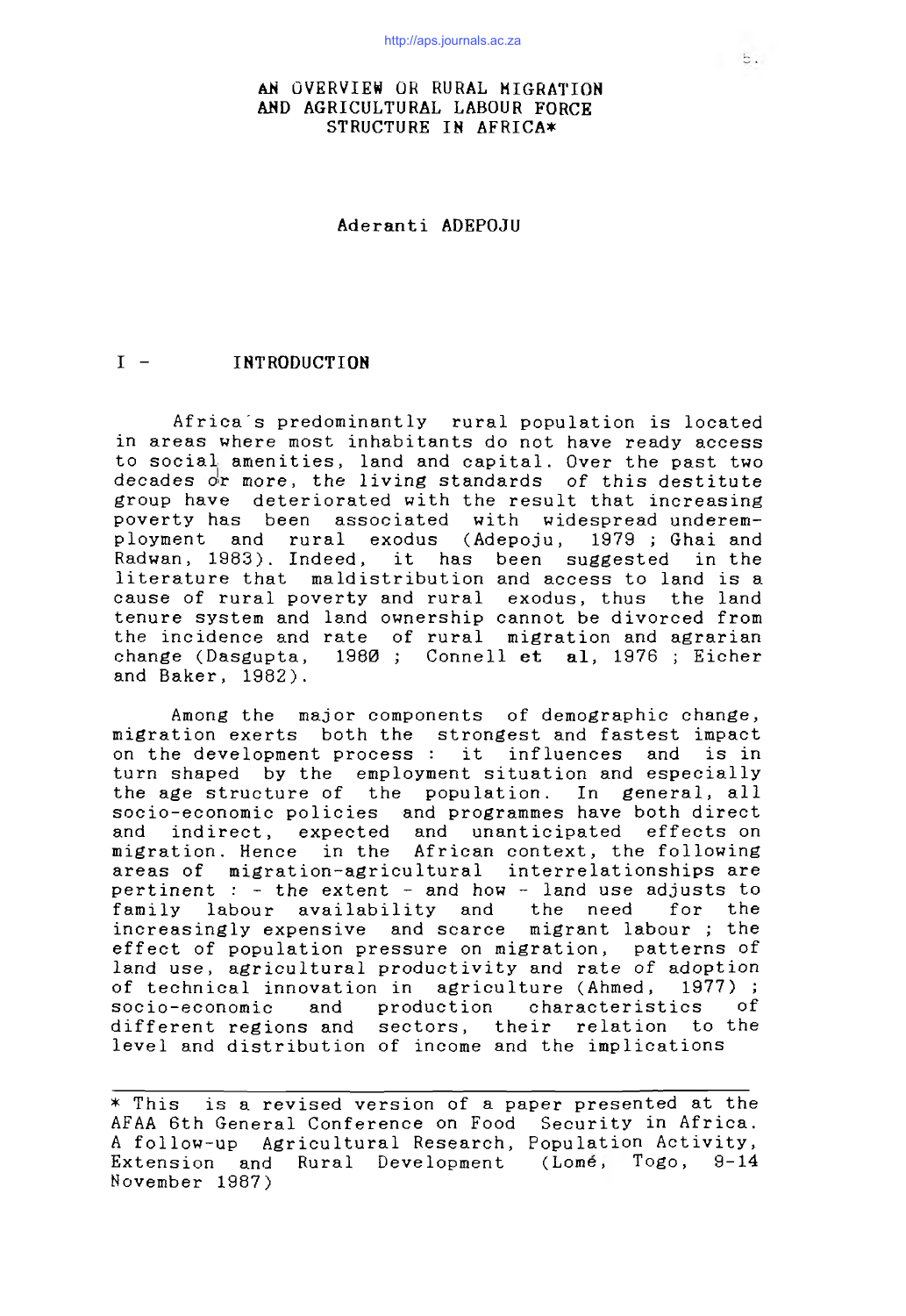# AN OVERVIEW OR RURAL MIGRATION AND AGRICULTURAL LABOUR FORCE STRUCTURE IN AFRICA\*

# Aderanti ADEPOJU

# I - INTRODUCTION

Africa's predominantly rural population is located in areas where most inhabitants do not have ready access to social amenities, land and capital. Over the past two decades or more, the living standards of this destitute group have deteriorated with the result that increasing poverty has been associated with widespread underemployment and rural exodus (Adepoju, 1979; Ghai and Radwan, 1983). Indeed, it has been suggested in the literature that maldistribution and access to land is a cause of rural poverty and rural exodus, thus the land tenure system and land ownership cannot be divorced from the incidence and rate of rural migration and agrarian change (Dasgupta, 1980 ; Connell et al, 1976 ; Eicher and Baker, 1982).

Among the major components of demographic change, migration exerts both the strongest and fastest impact on the development process : it influences and is in turn shaped by the employment situation and especially the age structure of the population. In general, all socio-economic policies and programmes have both direct and indirect, expected and unanticipated effects on migration. Hence in the African context, the following areas of migration-agricultural interrelationships are pertinent :  $-$  the extent - and how - land use adjusts to family labour availability and the need for the increasingly expensive and scarce migrant labour *;* the effect of population pressure on migration, patterns of land use, agricultural productivity and rate of adoption of technical innovation in agriculture (Ahmed, 1977) ; socio-economic and production characteristics of different regions and sectors, their relation to the level and distribution of income and the implications

 $*$  This is a revised version of a paper presented at the AFAA 6th General Conference on Food Security in Africa. A follow-up Agricultural Research, Population Activity, Extension and Rural Development (Lome, Togo, 9-14 November 1987)

 $5.$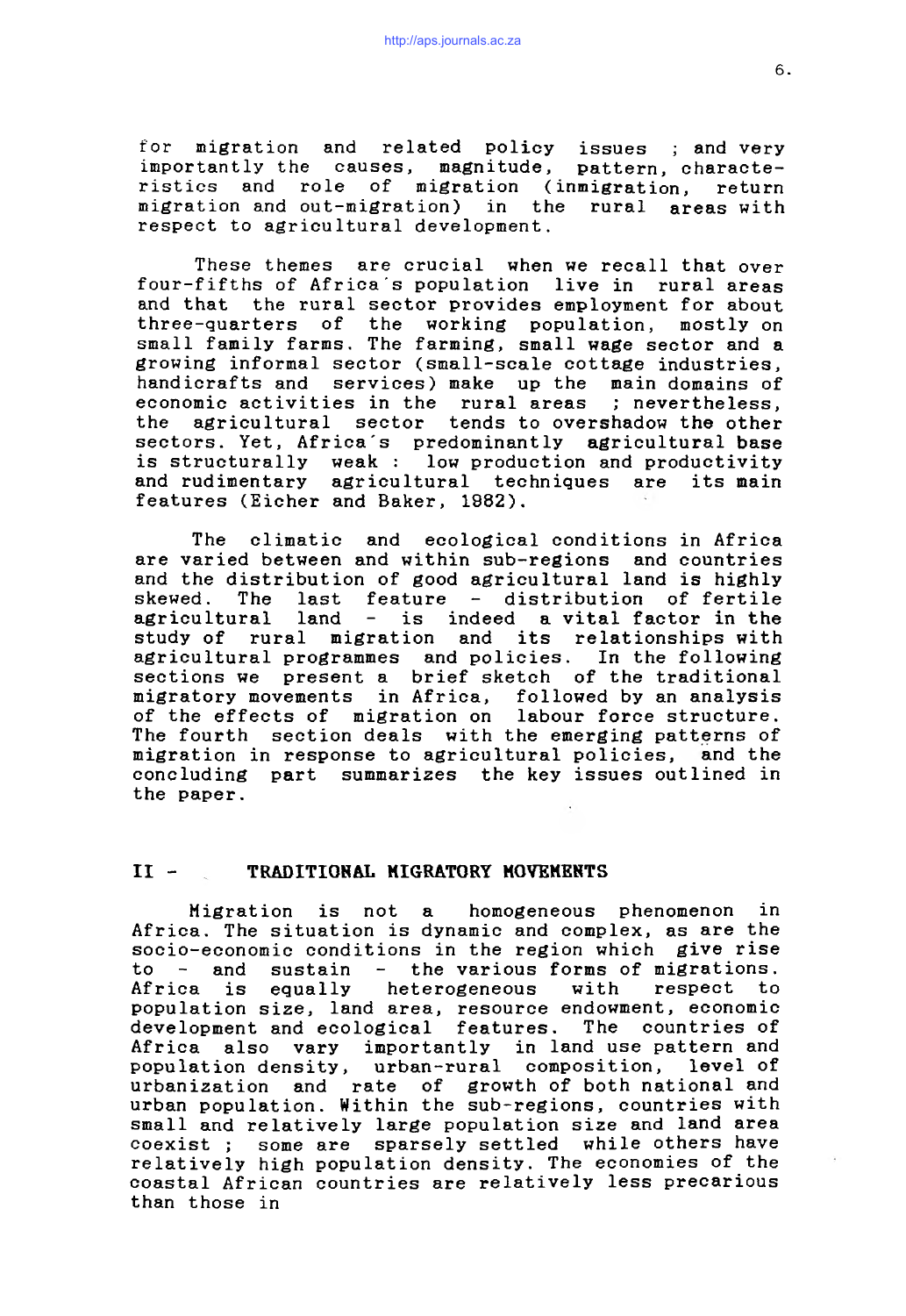for migration and related policy issues ; and very importantly the causes, magnitude, pattern, characteristics and role of migration (inmigration, return migration and out-migration) in the rural areas with respect to agricultural development.

These themes are crucial when we recall that over four-fifths of Africa's population live in rural areas and that the rural sector provides employment for about three-quarters of the working population, mostly on small family farms. The farming, small wage sector and a growing informal sector (small-scale cottage industries, handicrafts and services) make up the main domains of economic activities in the rural areas ; nevertheless, the agricultural sector tends to overshadow the other sectors. Yet, Africa's predominantly agricultural base is structurally weak : low production and productivity and rudimentary agricultural techniques are its main features (Eicher and Baker, 1882).

The climatic and ecological conditions in Africa are varied between and within sub-regions and countries and the distribution of good agricultural land is highly skewed. The last feature - distribution of fertile agricultural land - is indeed a vital factor in the study of rural migration and its relationships with agricultural programmes and policies. In the following sections we present a brief sketch of the traditional migratory movements in Africa, followed by an analysis of the effects of migration on labour force structure. The fourth section deals with the emerging patterns of migration in response to agricultural policies, and the concluding part summarizes the key issues outlined in the paper.

# II - TRADITIONAL MIGRATORY MOVEMENTS

Migration is not a homogeneous phenomenon in Africa. The situation is dynamic and complex, as are the socio-economic conditions in the region which give rise to  $-$  and sustain  $-$  the various forms of migrations. Africa is equally heterogeneous with respect to population size, land area, resource endowment, economic development and ecological features. The countries of Africa also vary importantly in land use pattern and population density, urban-rural composition, level of urbanization and rate of growth of both national and urban population. Within the sub-regions, countries with small and relatively large population size and land area coexist ; some are sparsely settled while others have relatively high population density. The economies of the coastal African countries are relatively less precarious than those in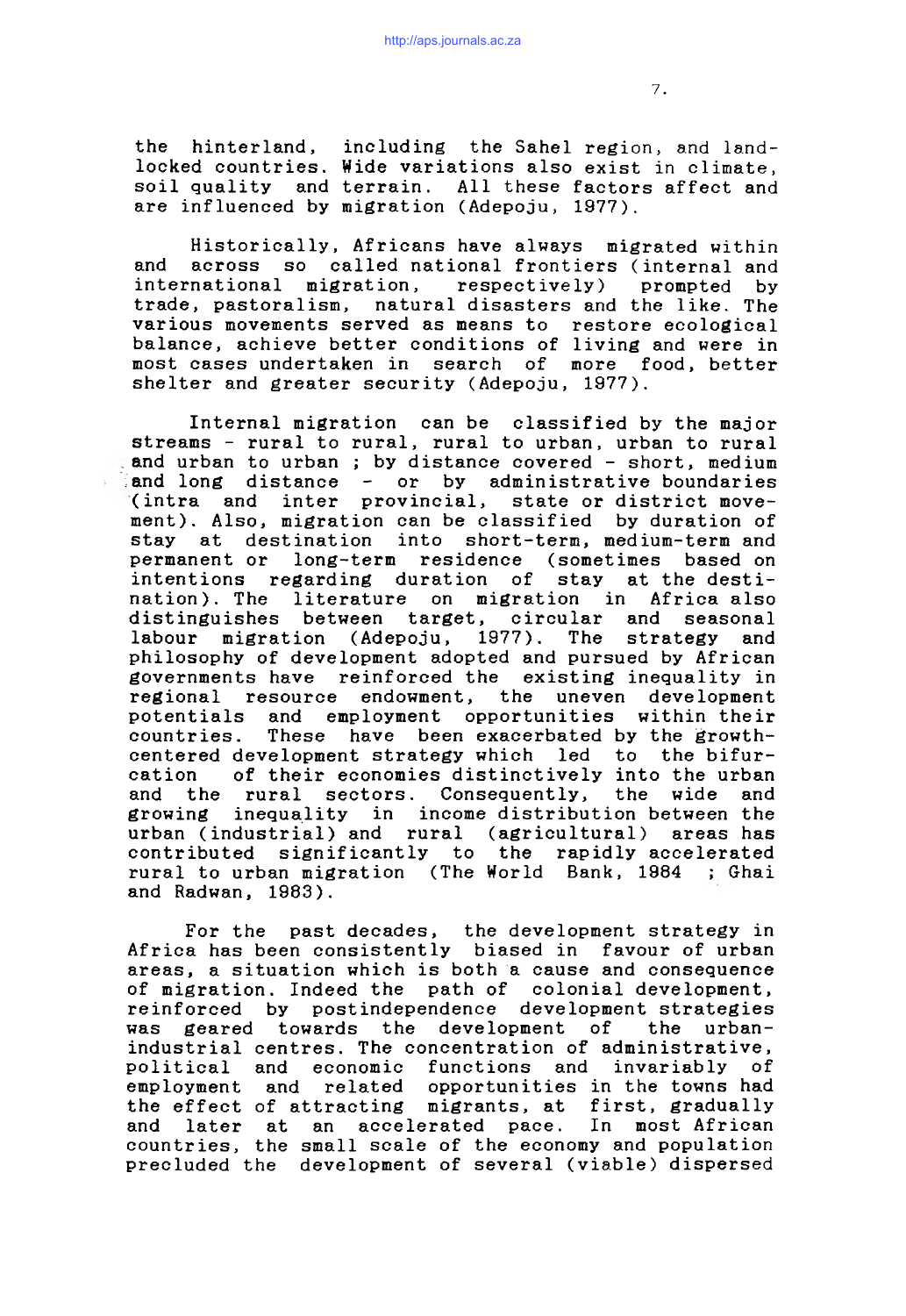the hinterland, including the Sahel region, and landlocked countries. Wide variations also exist in climate, soil quality and terrain. All these factors affect and are influenced by migration (Adepoju, 1977).

Historically, Africans have always migrated within and across so called national frontiers (internal and international migration, respectively) prompted by trade, pastoralism, natural disasters and the like. The various movements served as means to restore ecological balance, achieve better conditions of living and were in most cases undertaken in search of more food, better shelter and greater security (Adepoju, 1977).

Internal migration can be classified by the major streams - rural to rural, rural to urban, urban to rural and urban to urban; by distance covered - short, medium and long distance - or by administrative boundaries (intra and inter provincial, state or district movement). Also, migration can be classified by duration of stay at destination into short-term, medium-term and permanent or long-term residence (sometimes based on intentions regarding duration of stay at the destination). The literature on migration in Africa also distinguishes between target, circular and seasonal labour migration (Adepoju, 1977). The strategy and philosophy of development adopted and pursued by African governments have reinforced the existing inequality in regional resource endowment, the uneven development potentials and employment opportunities within their countries. These have been exacerbated by the growthcentered development strategy which led to the bifurcation of their economies distinctively into the urban and the rural sectors. Consequently, the wide and growing inequality in income distribution between the urban (industrial) and rural (agricultural) areas has contributed significantly to the rapidly accelerated rural to urban migration (The World Bank, 1984 ; Ghai and Radwan, 1983).

For the past decades, the development strategy in Africa has been consistently biased in favour of urban areas, a situation which is both a cause and consequence of migration. Indeed the path of colonial development, reinforced by postindependence development strategies was geared towards the development of the urbanindustrial centres. The concentration of administrative, political and economic functions and invariably of employment and related opportunities in the towns had the effect of attracting migrants, at first, gradually and later at an accelerated pace. In most African countries, the small scale of the economy and population precluded the development of several (viable) dispersed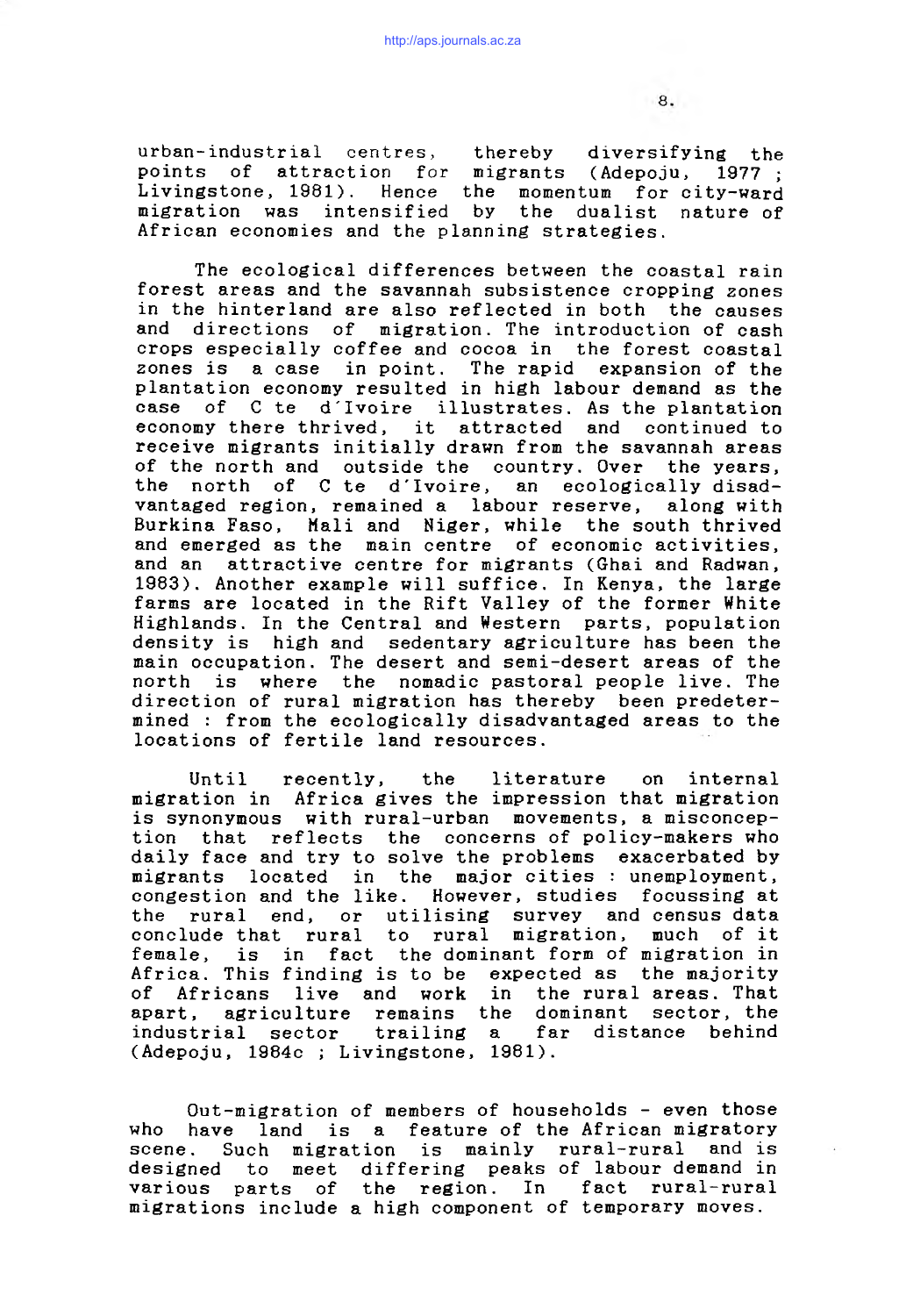urban-industrial centres, thereby diversifying the points of attraction for migrants (Adepoju, 1977; Livingstone, 1981). Hence the momentum for city-ward migration was intensified by the dualist nature of African economies and the planning strategies.

The ecological differences between the coastal rain forest areas and the savannah subsistence cropping zones in the hinterland are also reflected in both the causes and directions of migration. The introduction of cash crops especially coffee and cocoa in the forest coastal zones is a case in point. The rapid expansion of the plantation economy resulted in high labour demand as the case of C te d'Ivoire illustrates. As the plantation economy there thrived, it attracted and continued to receive migrants initially drawn from the savannah areas of the north and outside the country. Over the years, the north of C te d'Ivoire, an ecologically disadvantaged region, remained a labour reserve, along with Burkina Faso, Mali and Niger, while the south thrived and emerged as the main centre of economic activities, and an attractive centre for migrants (Ghai and Radwan, 1983). Another example will suffice. In Kenya, the large farms are located in the Rift Valley of the former White Highlands. In the Central and Western parts, population density is high and sedentary agriculture has been the main occupation. The desert and semi-desert areas of the north is where the nomadic pastoral people live. The direction of rural migration has thereby been predetermined : from the ecologically disadvantaged areas to the locations of fertile land resources.

Until recently, the literature on internal migration in Africa gives the impression that migration is synonymous with rural-urban movements, a misconception that reflects the concerns of policy-makers who daily face and try to solve the problems exacerbated by migrants located in the major-cities : unemployment, congestion and the like. However, studies focussing at the rural end, or utilising survey and census data conclude that rural to rural migration, much of it female, is in fact the dominant form of migration in Africa. This finding is to be expected as the majority of Africans live and work in the rural areas. That apart, agriculture remains the dominant sector, the industrial sector trailing a far distance behind (Adepoju, 1984c ; Livingstone, 1981).

Out-migration of members of households - even those who have land is a feature of the African migratory scene. Such migration is mainly rural-rural and is designed to meet differing peaks of labour demand in various parts of the region. In fact rural-rural migrations include a high component of temporary moves.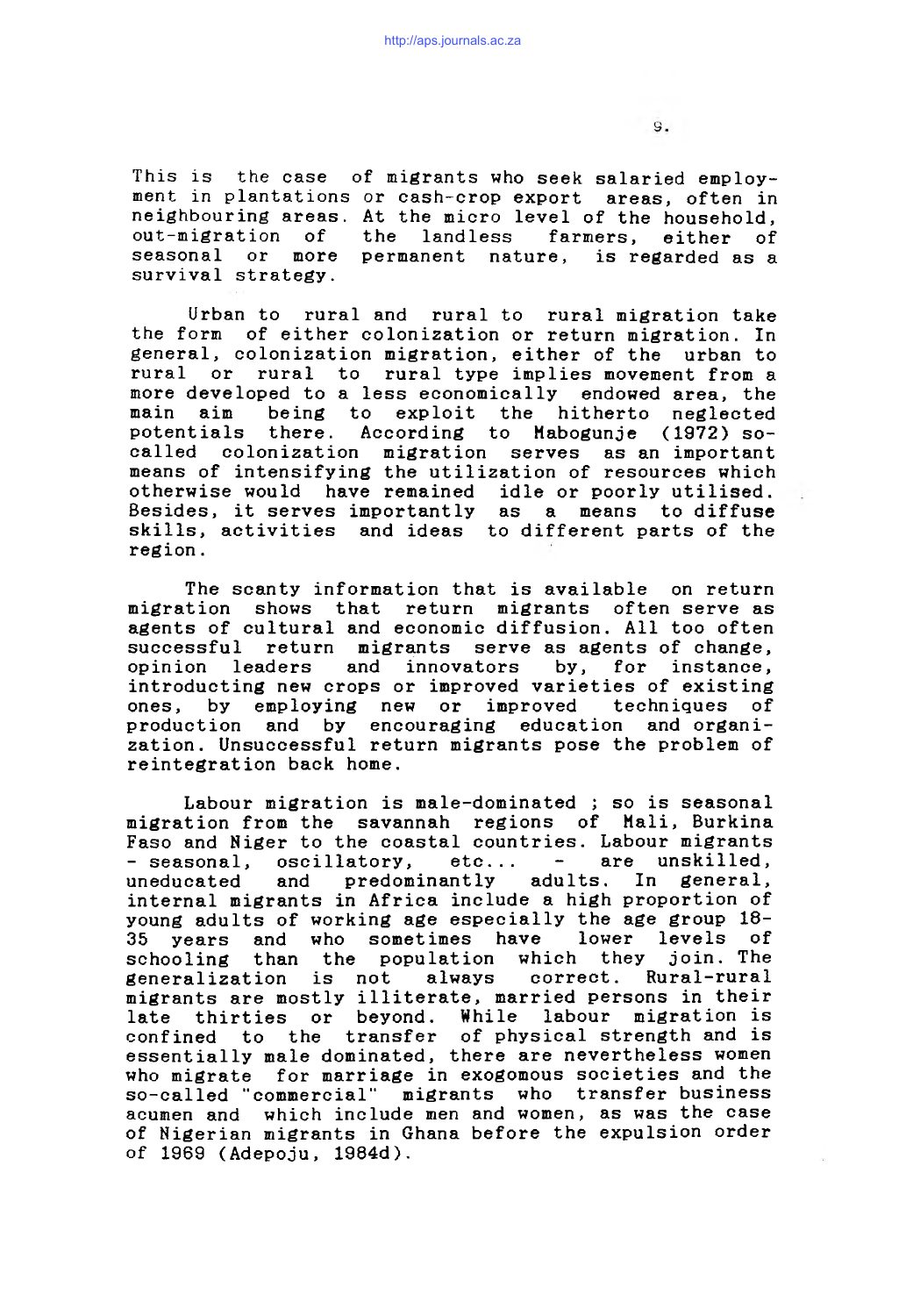This is the case of migrants who seek salaried employment in plantations or cash-crop export areas, often in neighbouring areas. At the micro level of the household, out-migration of the landless farmers, either of seasonal or more permanent nature, is regarded as a survival strategy.

Urban to rural and rural to rural migration take the form of either colonization or return migration. In general, colonization migration, either of the urban to rural or rural to rural type implies movement from a more developed to a less economically endowed area, the main aim being to exploit the hitherto neglected potentials there. According to Mabogunje (1972) socalled colonization migration serves as an important means of intensifying the utilization of resources which otherwise would have remained idle or poorly utilised. Besides, it serves importantly as a means to diffuse skills, activities and ideas to different parts of the region.

The scanty information that is available on return migration shows that return migrants often serve as agents of cultural and economic diffusion. All too often successful return migrants serve as agents of change, opinion leaders and innovators by, for instance, introducting new crops or improved varieties of existing ones, by employing new or improved techniques of production and by encouraging education and organization. Unsuccessful return migrants pose the problem of reintegration back home.

Labour migration is male-dominated ; so is seasonal migration from the savannah regions of Mali, Burkina Faso and Niger to the coastal countries. Labour migrants<br>- seasonal, oscillatory, etc... - are unskilled. - seasonal, oscillatory, etc... uneducated and predominantly adults. In general, internal migrants in Africa include a high proportion of young adults of working age especially the age group 18- 35 years and who sometimes have lower levels of schooling than the population which they generalization is not always correct. Rural-rural migrants are mostly illiterate, married persons in their late thirties or beyond. While labour migration is confined to the transfer of physical strength and is essentially male dominated, there are nevertheless women who migrate for marriage in exogomous societies and the so-called "commercial" migrants who transfer business acumen and which include men and women, as was the case of Nigerian migrants in Ghana before the expulsion order of 1969 (Adepoju, 1984d).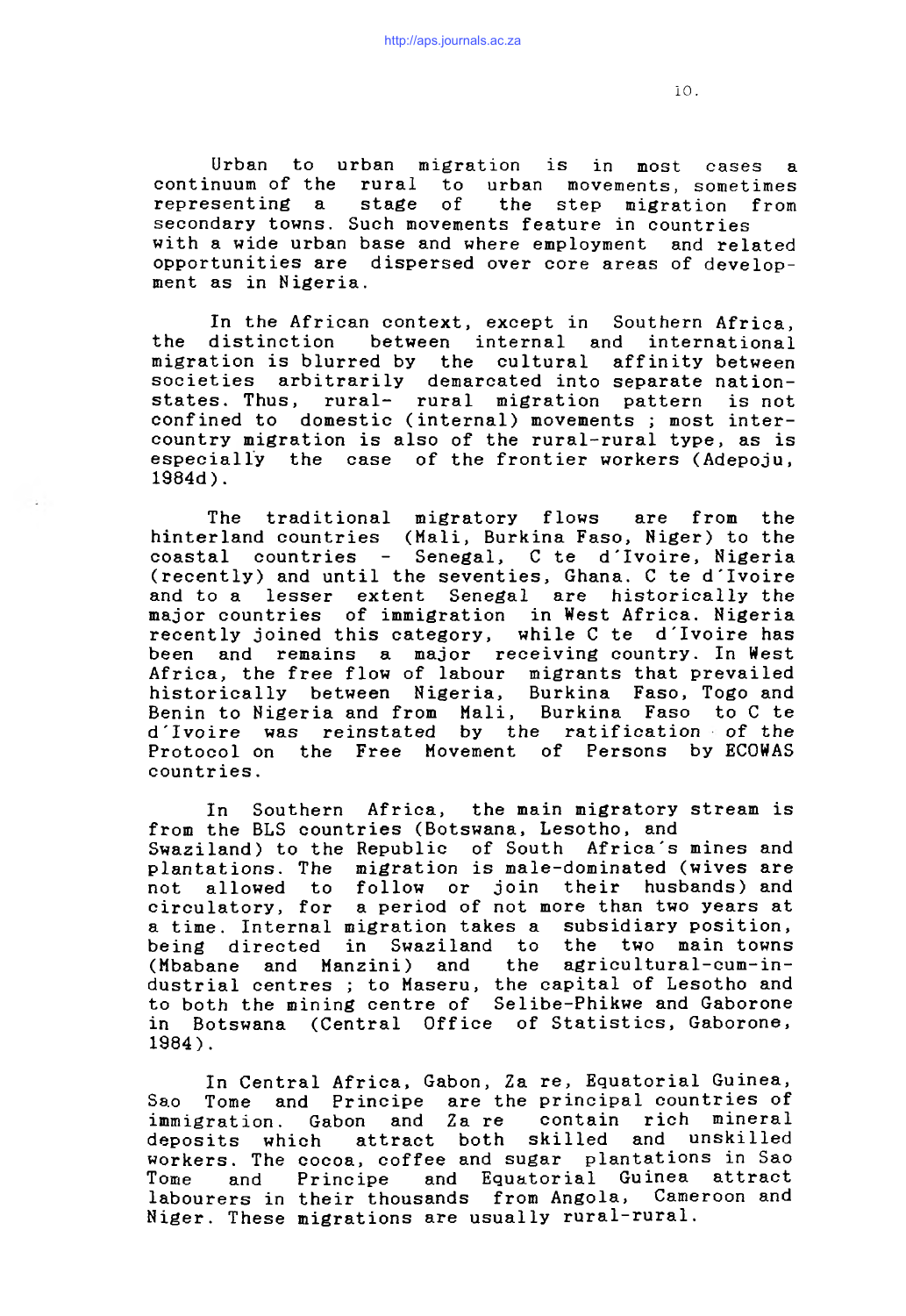Urban to urban migration is in most cases a continuum of the rural to urban movements, sometimes representing a stage of the step migration from secondary towns. Such movements feature in countries with a wide urban base and where employment and related opportunities are dispersed over core areas of development as in Nigeria.

In the African context, except in Southern Africa, the distinction between internal and international migration is blurred by the cultural affinity between societies arbitrarily demarcated into separate nationstates. Thus, rural- rural migration pattern is not confined to domestic (internal) movements; most intercountry migration is also of the rural-rural type, as is especially the case of the frontier workers (Adepoju, 1984d ) .

The traditional migratory flows are from the hinterland countries (Mali, Burkina Faso, Niger) to the coastal countries - Senegal, C te d'Ivoire, Nigeria (recently) and until the seventies, Ghana. C te d'Ivoire and to a lesser extent Senegal are historically the major countries of immigration in West Africa. Nigeria recently joined this category, while C te d'Ivoire has been and remains a major receiving country. In West Africa, the free flow of labour migrants that prevailed<br>historically between Nigeria, Burkina Faso, Togo and historically between Nigeria, Benin to Nigeria and from Mali, Burkina Faso to C te d'Ivoire was reinstated by the ratification of the Protocol on the Free Movement of Persons by ECOWAS countries.

In Southern Africa, the main migratory stream is from the BLS countries (Botswana, Lesotho, and Swaziland) to the Republic of South Africa's mines and plantations. The migration is male-dominated (wives are not allowed to follow or join their husbands) and circulatory, for a period of not more than two years at a time. Internal migration takes a subsidiary position, being directed in Swaziland to the two main towns (Mbabane and Manzini) and the agricultural-cum-industrial centres *;* to Maseru, the capital of Lesotho and to both the mining centre of Selibe-Phikwe and Gaborone in Botswana (Central Office of Statistics, Gaborone, 1984).

In Central Africa, Gabon, Za re, Equatorial Guinea, Sao Tome and Principe are the principal countries of immigration. Gabon and Za re contain rich mineral deposits which attract both skilled and unskilled workers. The cocoa, coffee and sugar plantations in Sao Tome and Principe and Equatorial Guinea attract labourers in their thousands from Angola, Cameroon and Niger. These migrations are usually rural-rural.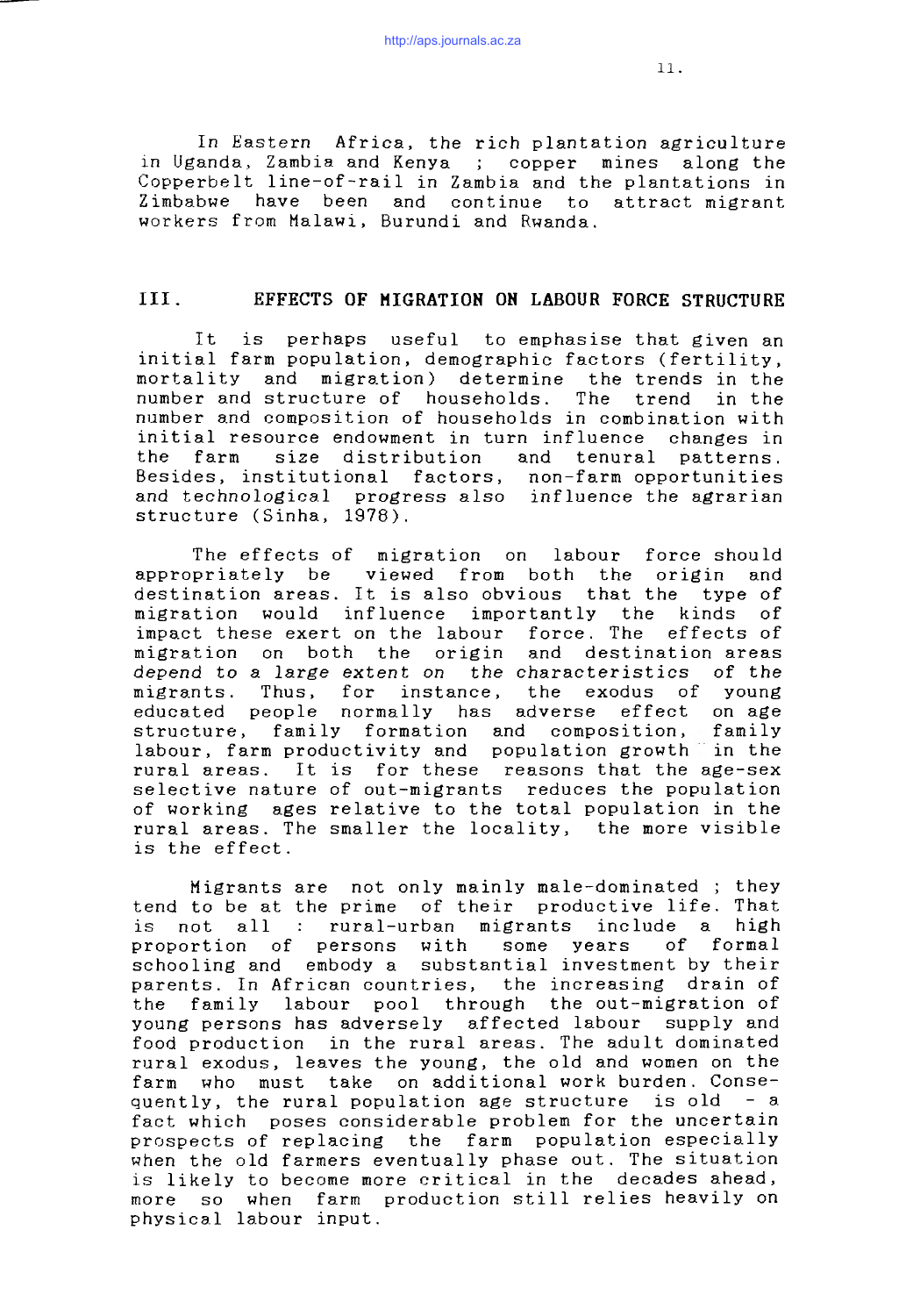In Eastern Africa, the rich plantation agriculture in Uganda, Zambia and Kenya ; copper mines along the Copperbelt line-of-rail in Zambia and the plantations in Zimbabwe have been and continue to attract migrant workers from Malawi, Burundi and Rwanda.

### III. EFFECTS OF MIGRATION ON LABOUR FORCE STRUCTURE

It is perhaps useful to emphasise that given an initial farm population, demographic factors (fertility, mortality and migration) determine the trends in the number and structure of households. The trend in the number and composition of households in combination with initial resource endowment in turn influence changes in the farm size distribution and tenural patterns. Besides, institutional factors, non-farm opportunities and technological progress also influence the agrarian structure (Sinha, 1978).

The effects of migration on labour force should appropriately be viewed from both the origin and destination areas. It is also obvious that the type of migration would influence importantly the kinds of impact these exert on the labour force. The effects of migration on both the origin and destination areas depend to a large *extent on the* characteristics of the migrants. Thus, for instance, the exodus of young educated people normally has adverse effect on age structure, family formation and composition, family labour, farm productivity and population growth in the rural areas. It is for these reasons that the age-sex selective nature of out-migrants reduces the population of working ages relative to the total population in the rural areas. The smaller the locality, the more visible is the effect.

Migrants are not only mainly male-dominated ; they tend to be at the prime of their productive life. That not all : rural-urban migrants include a high proportion of persons with some years of formal schooling and embody a substantial investment by their parents. In African countries, the increasing drain of the family labour pool through the out-migration of young persons has adversely affected labour supply and food production in the rural areas. The adult dominated rural exodus, leaves the young, the old and women on the farm who must take on additional work burden. Consequently, the rural population age structure is old  $-$  a fact which poses considerable problem for the uncertain prospects of replacing the farm population especially when the old farmers eventually phase out. The situation is likely to become more critical in the decades ahead, more so when farm production still relies heavily on physical labour input.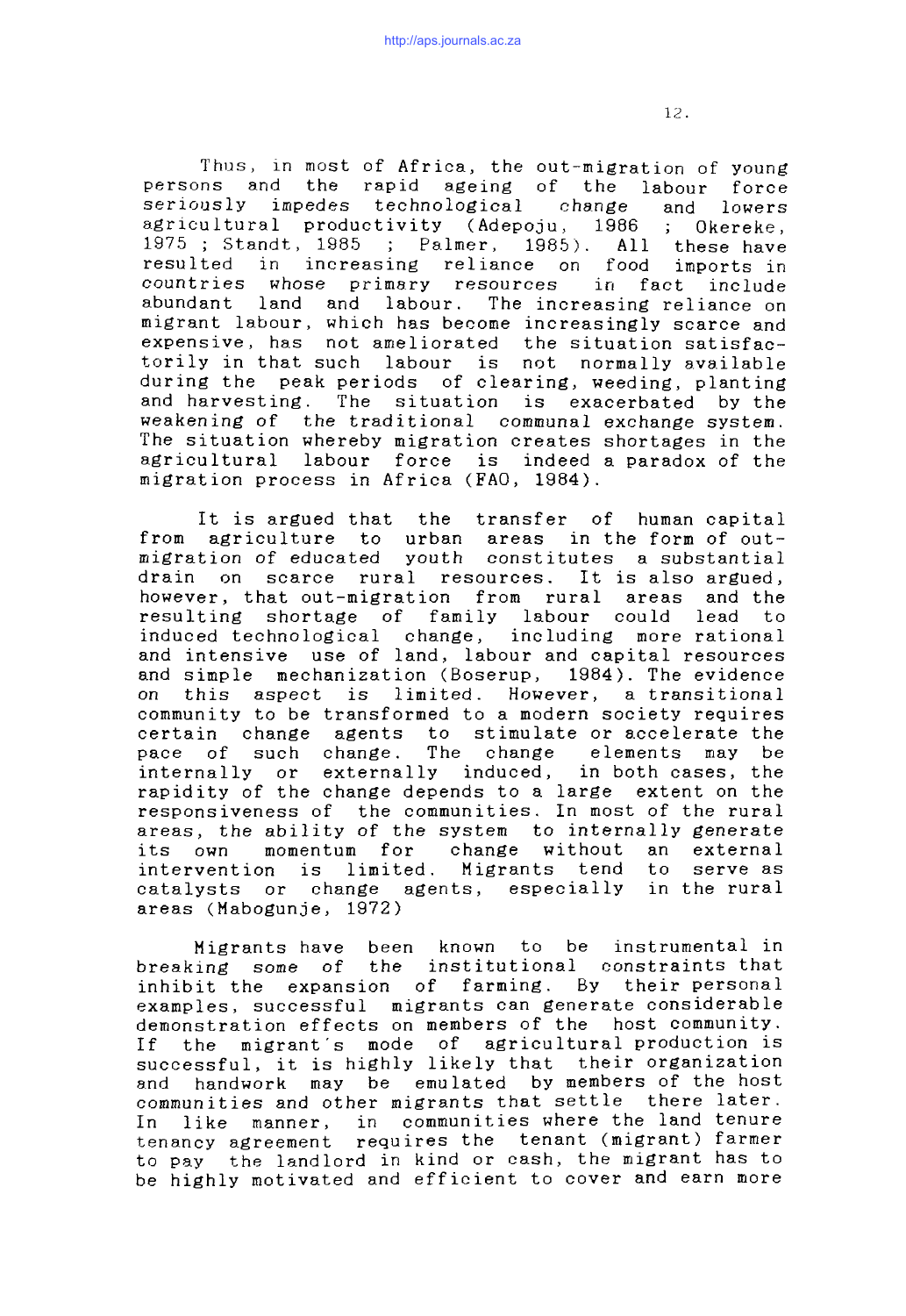Thus, in most of Africa, the out-migration of young persons and the rapid ageing of the labour force seriously impedes technological change and lowers agricultural productivity (Adepoju, 1986 ; Okereke, 1975 ; Standt, 1985 ; Palmer, 1985). All these have resulted in increasing reliance on food imports in countries whose primary resources in fact include abundant land and labour. The increasing reliance on migrant labour, which has become increasingly scarce and expensive, has not ameliorated the situation satisfactorily in that such labour is not normally available during the peak periods of clearing, weeding, planting and harvesting. The situation is exacerbated by the weakening of the traditional communal exchange system. The situation whereby migration creates shortages in the agricultural labour force is indeed a paradox of the migration process in Africa (FAO, 1984).

It is argued that the transfer of human capital from agriculture to urban areas in the form of outmigration of educated youth constitutes a substantial drain on scarce rural resources. It is also argued, however, that out-migration from rural areas and the resulting shortage of family labour could lead to induced technological change, including more rational and intensive use of land, labour and capital resources and simple mechanization (Boserup, 1984). The evidence on this aspect is limited. However, a transitional community to be transformed to a modern society requires certain change agents to stimulate or accelerate the pace of such change. The change elements may be internally or externally induced, in-both-cases, the rapidity of the change depends to a large extent on the responsiveness of the communities. In most of the rural areas, the ability of the system to internally generate its own momentum for change without an external intervention is limited. Migrants tend to serve as catalysts or change agents, especially in the rural areas (Mabogunje, 1972)

Migrants have been known to be instrumental in breaking some of the institutional constraints that inhibit the expansion of farming. By their personal examples, successful migrants can generate considerable demonstration effects on members of the host community. If the migrant's mode of agricultural production is successful, it is highly likely that their organization and handwork may be emulated by members of the host communities and other migrants that settle there later. In like manner, in communities where the land tenure tenancy agreement requires the tenant (migrant) farmer to pay the landlord in kind or cash, the migrant has to be highly motivated and efficient to cover and earn more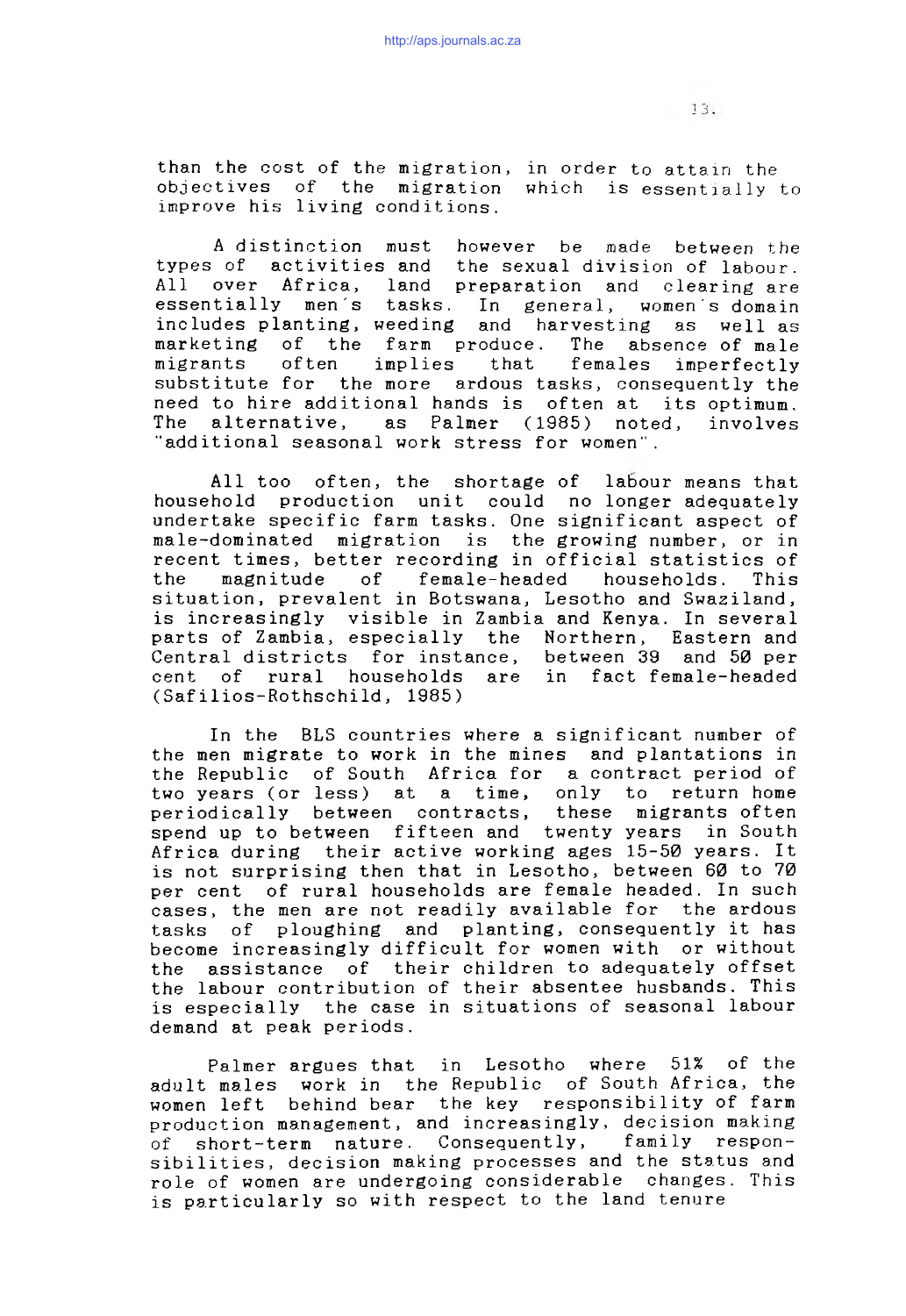than the cost of the migration, in order to attain the objectives of the migration which is essentially to improve his living conditions.

A distinction must however be made between the types of activities and the sexual division of labour. All over Africa, land preparation and clearing are essentially men's tasks. In general, women's domain includes planting, weeding and harvesting as well as marketing of the farm produce. The absence of male migrants often implies that females imperfectly substitute for the more ardous tasks, consequently the need to hire additional hands is often at its optimum. The alternative, as Palmer (1985) noted, involves "additional seasonal work stress for women".

All too often, the shortage of labour means that household production unit could no longer adequately undertake specific farm tasks. One significant aspect of male-dominated migration is the growing number, or in recent times, better recording in official statistics of<br>the magnitude of female-headed households. This the magnitude of female-headed households. This situation, prevalent in Botswana, Lesotho and Swaziland, is increasingly visible in Zambia and Kenya. In several parts of Zambia, especially the Northern, Eastern and Central districts for instance, cent of rural households are in fact female-headed (Safilios-Rothschild, 1985)

In the BLS countries where a significant number of the men migrate to work in the mines and plantations in the Republic of South Africa for a contract period of two years (or less) at a time, only to return home periodically between contracts, these migrants often spend up to between fifteen and twenty years in South Africa during their active working ages 15-50 years. It is not surprising then that in Lesotho, between 60 to 70 per cent of rural households are female headed. In such cases, the men are not readily available for the ardous tasks of ploughing and planting, consequently it has become increasingly difficult for women with or without the assistance of their children to adequately offset the labour contribution of their absentee husbands. This is especially the case in situations of seasonal labour demand at peak periods.

Palmer argues that in Lesotho where 51% of the adult males work in the Republic of South Africa, the women left behind bear the key responsibility of farm production management, and increasingly, decision making of short-term nature. Consequently, family responsibilities, decision making processes and the status and role of women are undergoing considerable changes. This is particularly so with respect to the land tenure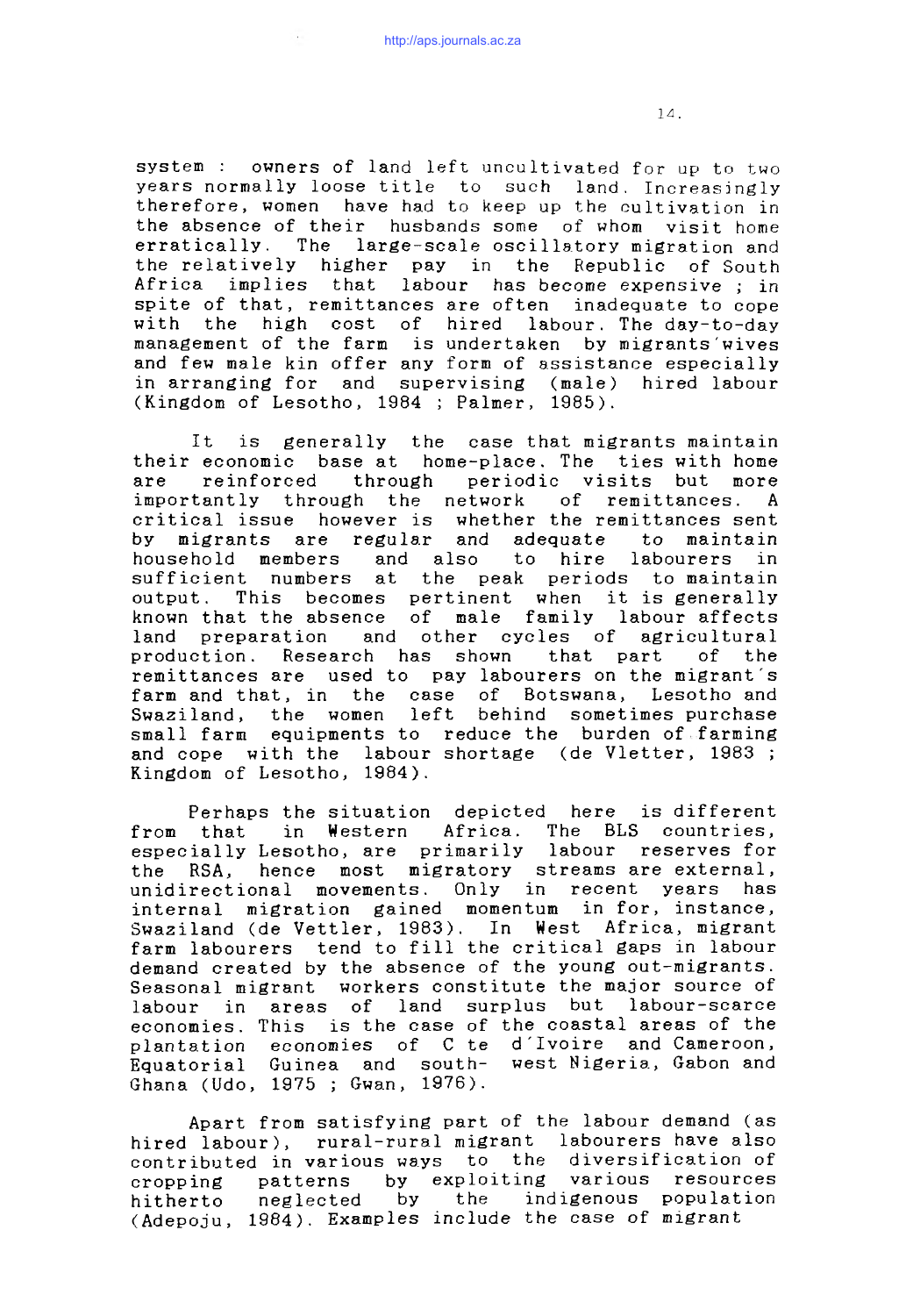system : owners of land left uncultivated for up to two years normally loose title to such land. Increasingly therefore, women have had to keep up the cultivation in the absence of their husbands some of whom visit home erratically. The large-scale oscillatory migration and the relatively higher pay in the Republic of South Africa implies that labour has become expensive *;* in spite of that, remittances are often inadequate to cope with the high cost of hired labour. The day-to-day management of the farm is undertaken by migrants wives and few male kin offer any form of assistance especially in arranging for and supervising (male) hired labour (Kingdom of Lesotho, 1984 ; Palmer, 1985).

It is generally the case that migrants maintain their economic base at home-place. The ties with home are reinforced through periodic visits but more<br>importantly through the network of remittances. A importantly through the network of remittances. A critical issue however is whether the remittances sent by migrants are regular and adequate to maintain household members and also to hire labourers in sufficient numbers at the peak periods to maintain output. This becomes pertinent when it is generally known that the absence of male family labour affects land preparation and other cycles of agricultural production. Research has shown that part of the remittances are used to pay labourers on the migrant's farm and that, in the case of Botswana, Lesotho and Swaziland, the women left behind sometimes purchase small farm equipments to reduce the burden of farming and cope with the labour shortage (de Vletter, 1983; Kingdom of Lesotho, 1984).

Perhaps the situation depicted here is different from that in Western Africa. The BLS countries, especially Lesotho, are primarily labour reserves for the RSA, hence most migratory streams are external, unidirectional movements. Only in recent years has internal migration gained momentum in for, instance, Swaziland (de Vettler, 1983). In West Africa, migrant farm labourers tend to fill the critical gaps in labour demand created by the absence of the young out-migrants. Seasonal migrant workers constitute the major source of labour in areas of land surplus but labour-scarce economies. This is the case of the coastal areas of the plantation economies of C te d'Ivoire and Cameroon, Equatorial Guinea and south- west Nigeria, Gabon and Ghana (Udo, 1975 ; Gwan, 1976).

Apart from satisfying part of the labour demand (as hired labour), rural-rural migrant labourers have also contributed in various ways to the diversification of cropping patterns by exploiting various resources hitherto neglected by the indigenous population (Adepoju, 1984). Examples include the case of migrant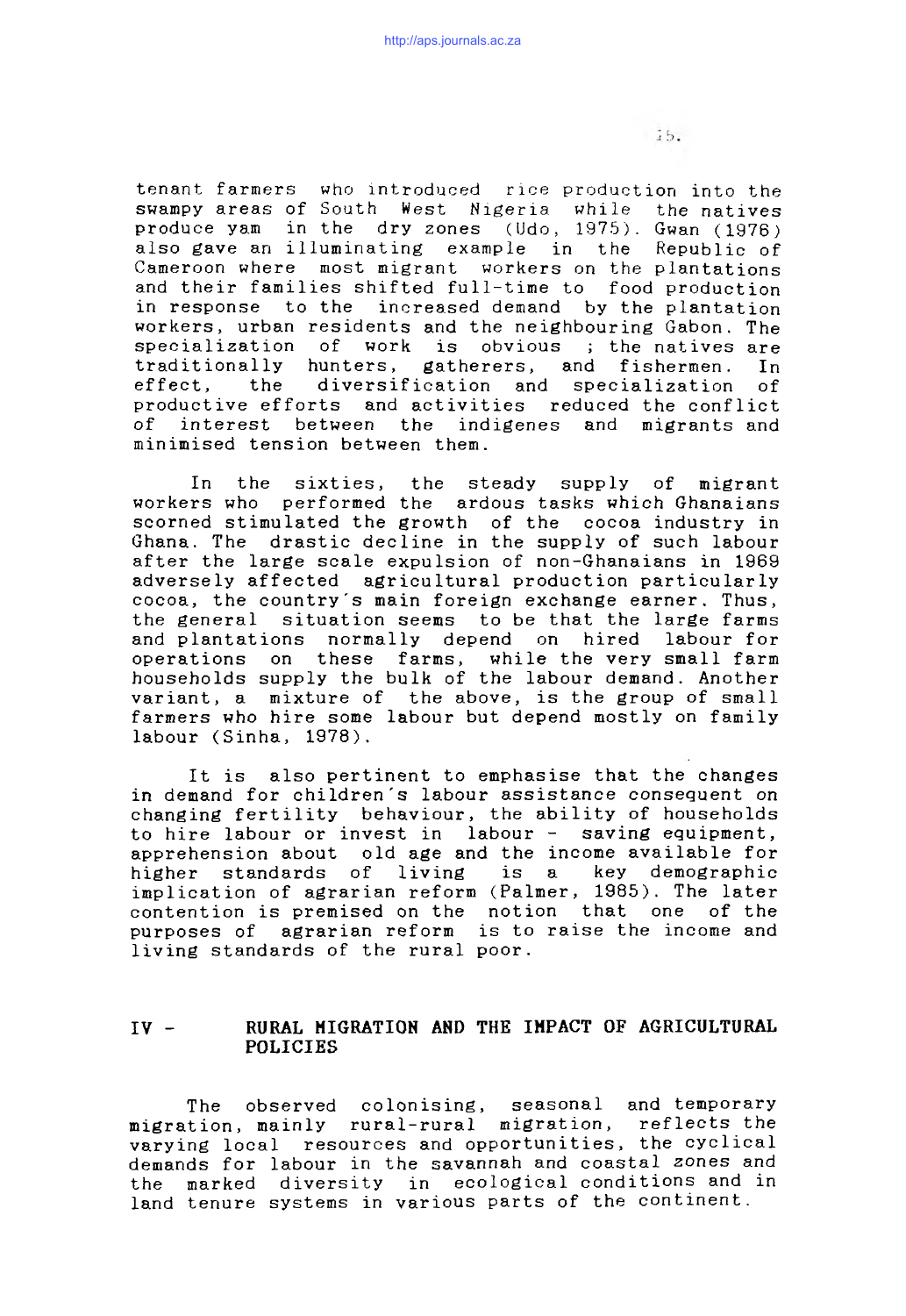tenant farmers who introduced rice production into the swampy areas of South West Nigeria while the natives produce yam in the dry zones (Udo,  $1975$ ). Gwan (1976) also gave an illuminating example in the Republic of Cameroon where most migrant workers on the plantations and their families shifted full-time to food production in response to the increased demand by the plantation workers, urban residents and the neighbouring Gabon. The specialization of work is obvious ; the natives are traditionally hunters, gatherers, and fishermen. In effect, the diversification and specialization of productive efforts and activities reduced the conflict of interest between the indigenes and migrants and minimised tension between them.

In the sixties, the steady supply of migrant workers who performed the ardous tasks which Ghanaians scorned stimulated the growth of the cocoa industry in Ghana. The drastic decline in the supply of such labour after the large scale expulsion of non-Ghanaians in 1969 adversely affected agricultural production particularly cocoa, the country's main foreign exchange earner. Thus, the general situation seems to be that the large farms and plantations normally depend on hired labour for operations on these farms, while the very small farm households supply the bulk of the labour demand. Another variant, a mixture of the above, is the group of small farmers who hire some labour but depend mostly on family labour (Sinha, 1978).

It is also pertinent to emphasise that the changes in demand for children's labour assistance consequent on changing fertility behaviour, the ability of households to hire labour or invest in labour - saving equipment, apprehension about old age and the income available for higher standards of living is a key demographic implication of agrarian reform (Palmer, 1985). The later contention is premised on the notion that one of the purposes of agrarian reform is to raise the income and living standards of the rural poor.

# IV - RURAL MIGRATION AND THE IMPACT OF AGRICULTURAL POLICIES

The observed colonising, seasonal and temporary migration, mainly rural-rural migration, reflects the varying local resources and opportunities, the cyclical demands for labour in the savannah and coastal zones and the marked diversity in ecological conditions and in land tenure systems in various parts of the continent.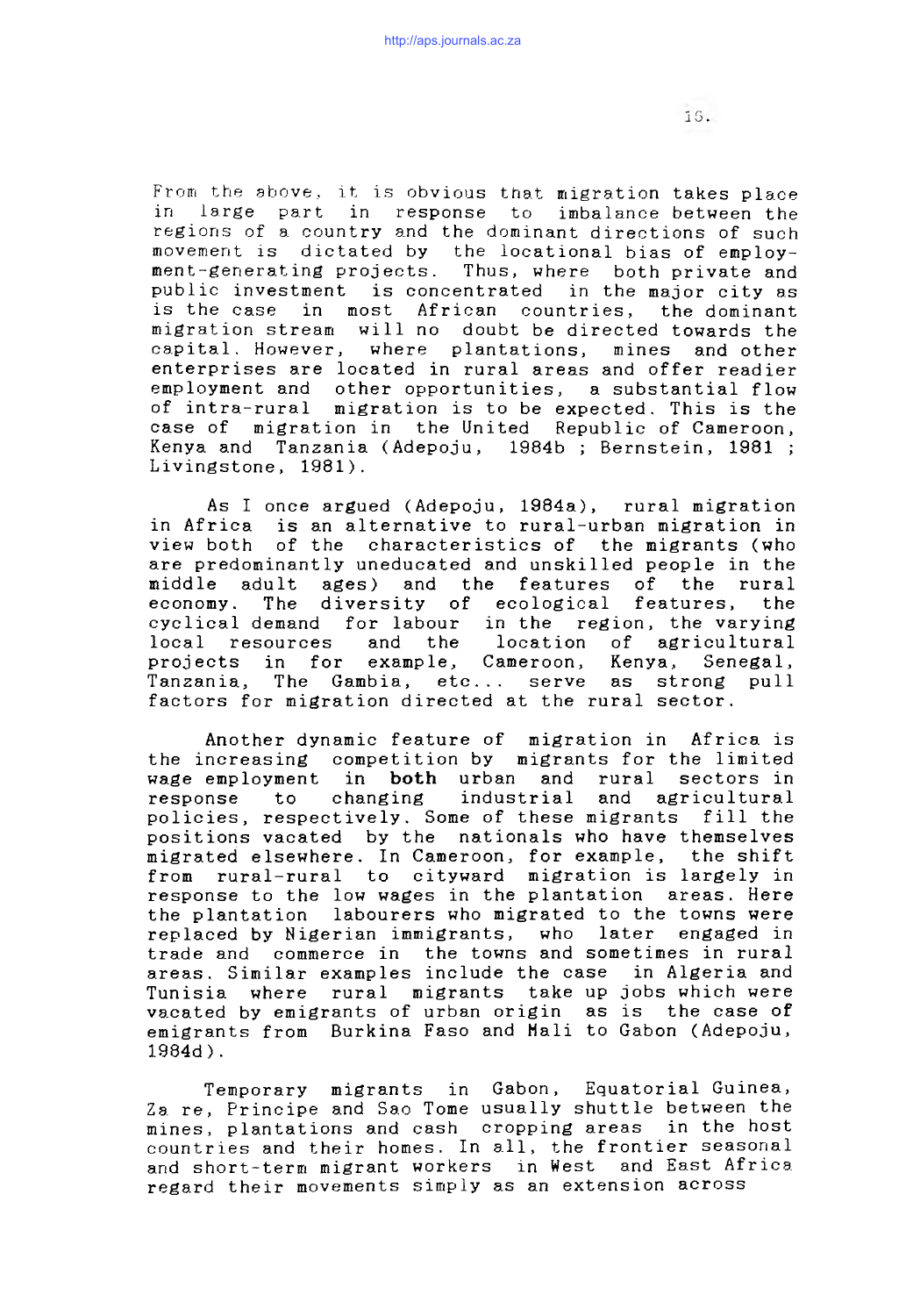From the above., it is obvious that migration takes place in large part in response to imbalance between the regions of a country and the dominant directions of such movement is dictated by the locational bias of employment-generating projects. Thus, where both private and public investment is concentrated in the major city as is the case in most African countries, the dominant migration stream will no doubt be directed towards the capital. However, where plantations, mines and other enterprises are located in rural areas and offer readier employment and other opportunities, a substantial flow of intra-rural migration is to be expected. This is the case of migration in the United Republic of Cameroon, Kenya and Tanzania (Adepoju, 1984b; Bernstein, 1981; Livingstone, 1981).

As I once argued (Adepoju, 1984a), rural migration in Africa is an alternative to rural-urban migration in view both of the characteristics of the migrants (who are predominantly uneducated and unskilled people in the middle adult ages) and the features of the rural economy. The diversity of ecological features, the cyclical demand for labour in the region, the varying local resources and the location of agricultural projects in for example, Cameroon, Kenya, Senegal, Tanzania, The Gambia, etc... serve as strong pull factors for migration directed at the rural sector.

Another dynamic feature of migration in Africa is the increasing competition by migrants for the limited wage employment in both urban and rural sectors in response to changing industrial and agricultural policies, respectively. Some of these migrants fill the positions vacated by the nationals who have themselves migrated elsewhere. In Cameroon, for example, the shift from rural-rural to cityward migration is largely in response to the low wages in the plantation areas. Here the plantation labourers who migrated to the towns were replaced by Nigerian immigrants, who later engaged in trade and commerce in the towns and sometimes in rural areas. Similar examples include the case in Algeria and Tunisia where rural migrants take up jobs which were vacated by emigrants of urban origin as is the case of emigrants from Burkina Faso and Mali to Gabon (Adepoju,  $1984d$ .

Temporary migrants in Gabon, Equatorial Guinea, Za re, Principe and Sao Tome usually shuttle between the mines, plantations and cash cropping areas in the host countries and their homes. In all, the frontier seasonal and short-term migrant workers in West and East Africa regard their movements simply as an extension across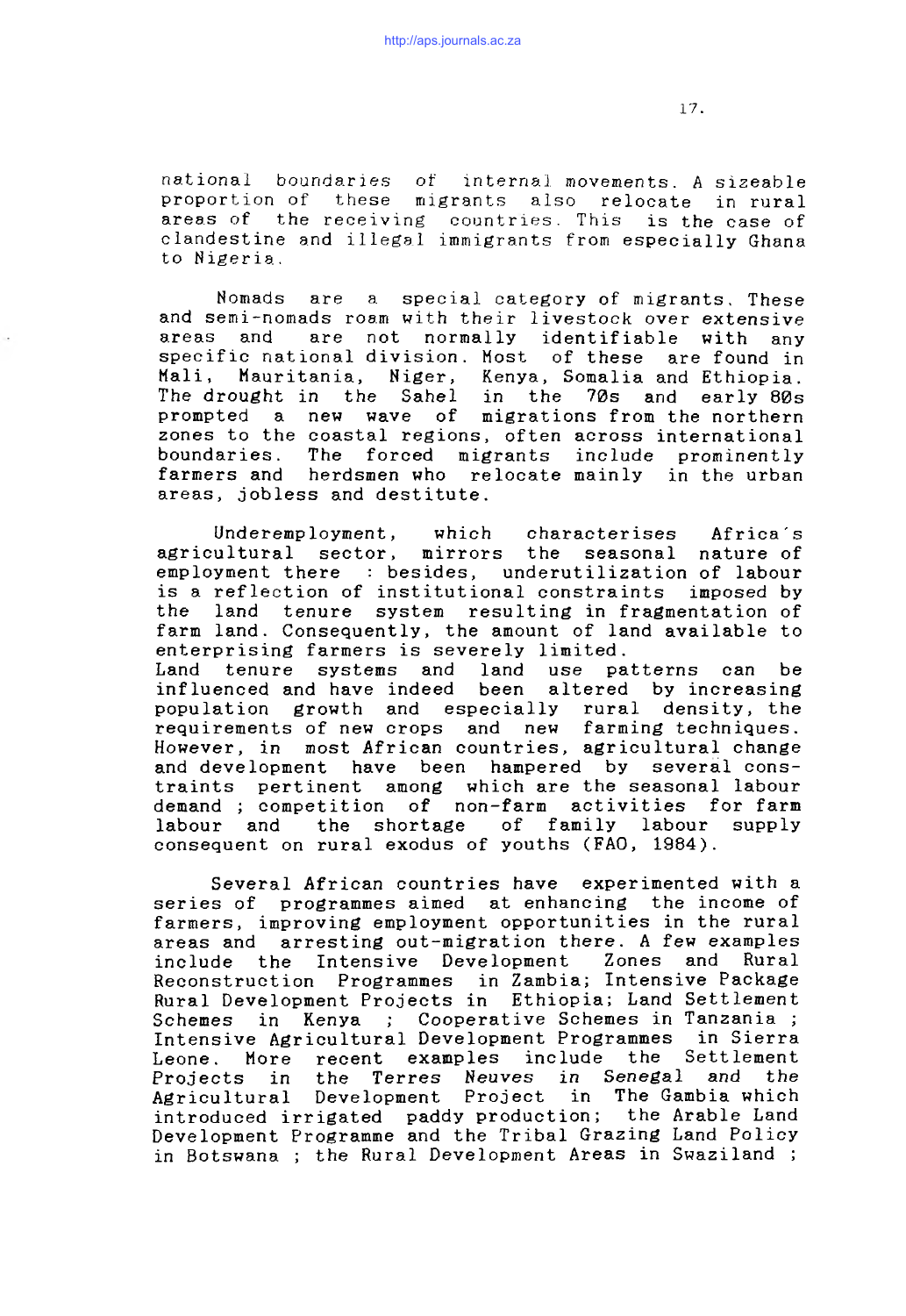national boundaries of internal movements. A sizeable proportion of these migrants also relocate in rural areas of the receiving countries. This is the case of clandestine and illegal immigrants from especially Ghana to Nigeria.

Nomads are a special category of migrants. These and semi-nomads roam with their livestock over extensive areas and are not normally identifiable with any specific national division. Most of these are found in Mali, Mauritania, Niger, Kenya, Somalia and Ethiopia. The drought in the Sahel in the 70s and early 80s prompted a new wave of migrations from the northern zones to the coastal regions, often across international boundaries. The forced migrants include prominently farmers and herdsmen who relocate mainly in the urban areas, jobless and destitute.

Underemployment, which characterises Africa's agricultural sector, mirrors the seasonal nature of employment there : besides, underutilization of labour is a reflection of institutional constraints imposed by the land tenure system resulting in fragmentation of farm land. Consequently, the amount of land available to enterprising farmers is severely limited. Land tenure systems and land use patterns can be influenced and have indeed been altered by increasing population growth and especially rural density, the requirements of new crops and new farming techniques. However, in most African countries, agricultural change and development have been hampered by several constraints pertinent among which are the seasonal labour demand ; competition of non-farm activities for farm labour and the shortage of family labour supply consequent on rural exodus of youths (FAO, 1984).

Several African countries have experimented with a series of programmes aimed at enhancing the income of farmers, improving employment opportunities in the rural areas and arresting out-migration there. A few examples include the Intensive Development Zones and Rural Reconstruction Programmes in Zambia; Intensive Package Rural Development Projects in Ethiopia; Land Settlement Schemes in Kenya ; Cooperative Schemes in Tanzania ; Intensive Agricultural Development Programmes in Sierra Leone. More recent examples include the Settlement Projects in the Terres Neuves in Senegal and the Agricultural Development Project in The Gambia which introduced irrigated paddy production; the Arable Land Development Programme and the Tribal Grazing Land Policy in Botswana ; the Rural Development Areas in Swaziland ;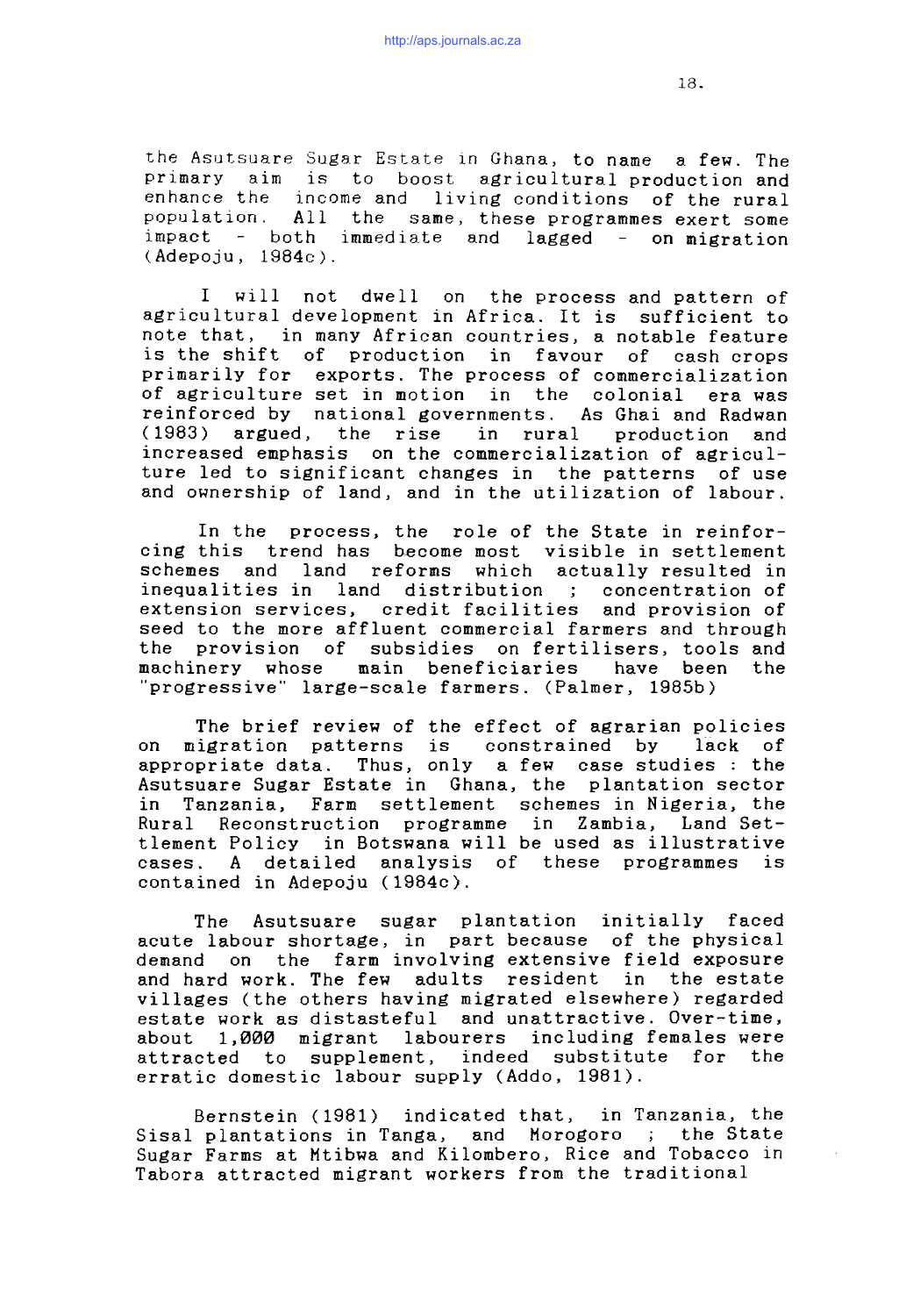the Asutsuare Sugar Estate in Ghana, to name a few. The primary aim is to boost agricultural production and enhance the income and living conditions of the rural population. All the same, these programmes exert some  $impect$  - both immediate and lagged - on migration (Adepoju, 1984c).

I will not dwell on the process and pattern of agricultural development in Africa. It is sufficient to note that, in many African countries, a notable feature is the shift of production in favour of cash crops primarily for exports. The process of commercialization of agriculture set in motion in the colonial era was reinforced by national governments. As Ghai and Radwan (1983) argued, the rise in rural production and increased emphasis on the commercialization of agriculture led to significant changes in the patterns of use and ownership of land, and in the utilization of labour.

In the process, the role of the State in reinforcing this trend has become most visible in settlement schemes and land reforms which actually resulted in inequalities in land distribution; concentration of extension services, credit facilities and provision of seed to the more affluent commercial farmers and through the provision of subsidies on fertilisers, tools and machinery whose main beneficiaries have been the "progressive" large-scale farmers. (Palmer, 1985b)

The brief review of the effect of agrarian policies on migration patterns is constrained by lack of appropriate data. Thus, only a few case studies : the Asutsuare Sugar Estate in Ghana, the plantation sector in Tanzania, Farm settlement schemes in Nigeria, the Rural Reconstruction programme in Zambia, Land Settlement Policy in Botswana will be used as illustrative cases. A detailed analysis of these programmes is contained in Adepoju (1984c).

The Asutsuare sugar plantation initially faced acute labour shortage, in part because of the physical demand on the farm involving extensive field exposure and hard work. The few adults resident in the estate villages (the others having migrated elsewhere) regarded estate work as distasteful and unattractive. Over-time, about 1,000 migrant labourers including females were attracted to supplement, indeed substitute for the erratic domestic labour supply (Addo, 1981).

Bernstein (1981) indicated that, in Tanzania, the Sisal plantations in Tanga, and Morogoro ; the State Sugar Farms at Mtibwa and Kilombero, Rice and Tobacco in Tabora attracted migrant workers from the traditional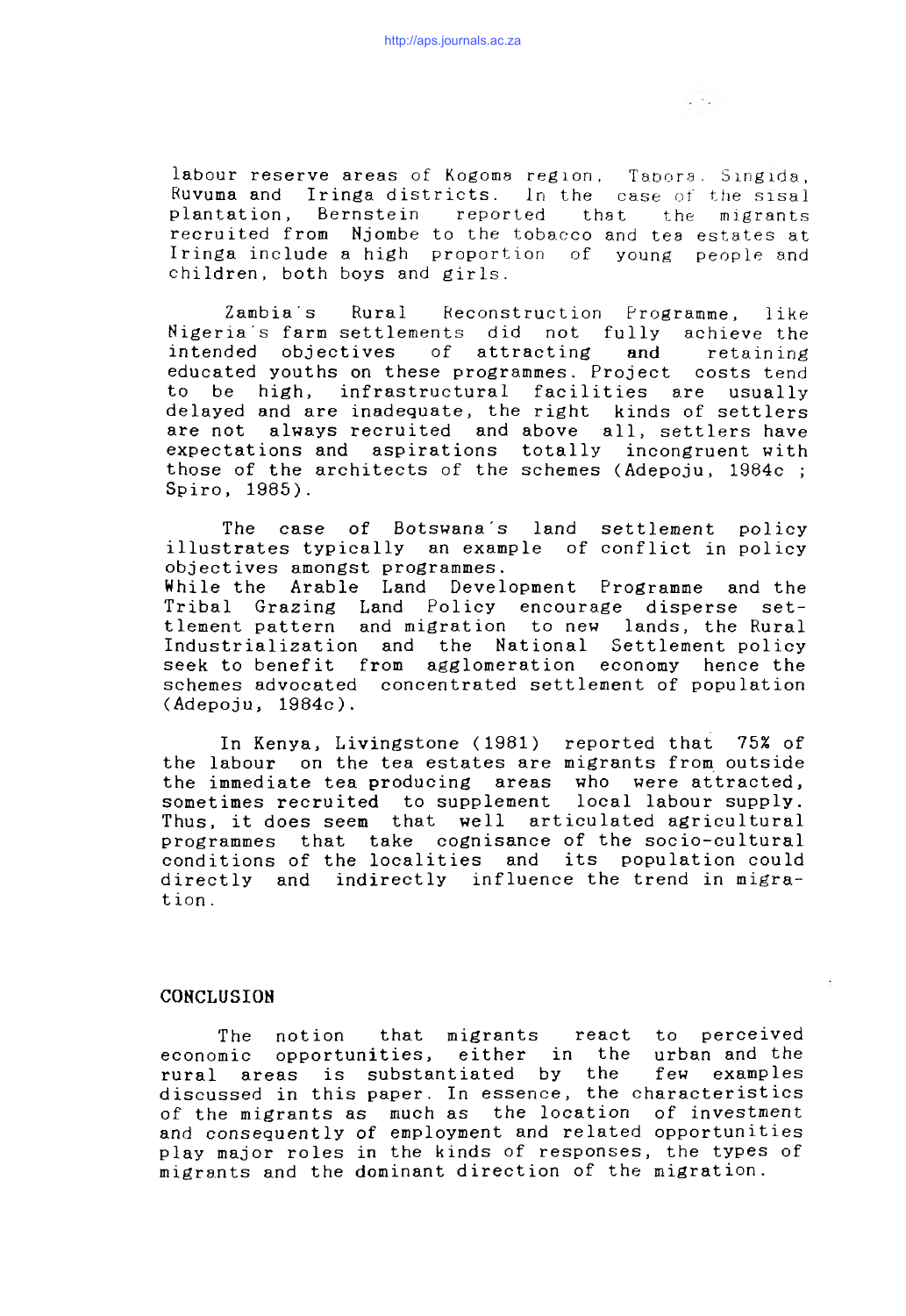labour reserve areas of Kogoma region, Tapora, Singida, Ruvuma and Iringa districts. In the case of the sisal plantation, Bernstein reported that the migrants recruited from Njombe to the tobacco and tea estates at Iringa include a high proportion of young people and children, both boys and girls.

Zambia's Rural Reconstruction Programme, like Nigeria's farm settlements did not fully achieve the intended objectives of attracting and retaining educated youths on these programmes. Project costs tend to be high, infrastructural facilities are usually delayed and are inadequate, the right are not always recruited and above all, settlers have expectations and aspirations totally incongruent with those of the architects of the schemes (Adepoju,  $1984c$ ; Spiro, 1985).

The case of Botswana's land settlement policy illustrates typically an example of conflict in policy objectives amongst programmes. While the Arable Land Development Programme and the Tribal Grazing Land Policy encourage disperse settlement pattern and migration to new lands, the Rural Industrialization and the National Settlement policy seek to benefit from agglomeration economy hence the schemes advocated concentrated settlement of population (Adepoju, 1984c).

In Kenya, Livingstone (1981) reported that 75% of the labour on the tea estates are migrants from outside the immediate tea producing areas who were attracted, sometimes recruited to supplement local labour supply. Thus, it does seem that well articulated agricultural programmes that take cognisance of the socio-cultural conditions of the localities and its population could directly and indirectly influence the trend in migration .

#### **CONCLUSION**

The notion that migrants react to perceived economic opportunities, either in the urban and the rural areas is substantiated by the few examples discussed in this paper. In essence, the characteristics of the migrants as much as the location of investment and consequently of employment and related opportunities play major roles in the kinds of responses, the types of migrants and the dominant direction of the migration.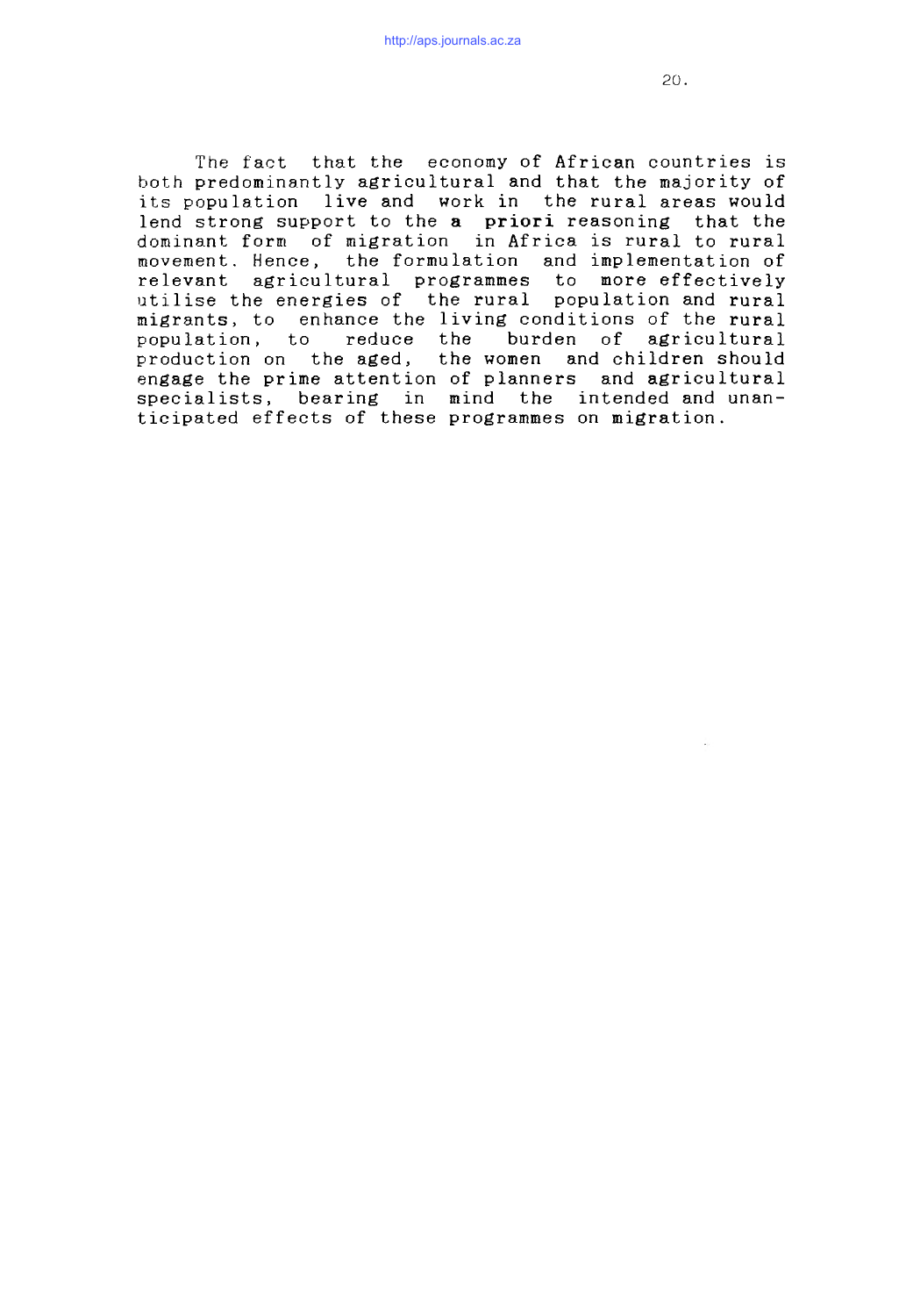The fact that the economy of African countries is both predominantly agricultural and that the majority of its population live and work in the rural areas would lend strong support to the a priori reasoning that the dominant form of migration in Africa is rural to rural movement. Hence, the formulation and implementation of relevant agricultural programmes to more effectively utilise the energies of the rural population and rural migrants, to enhance the living conditions of the rural population, to reduce the burden of agricultural production on the aged, the women and children should engage the prime attention of planners and agricultural specialists, bearing in mind the intended and unanticipated effects of these programmes on migration.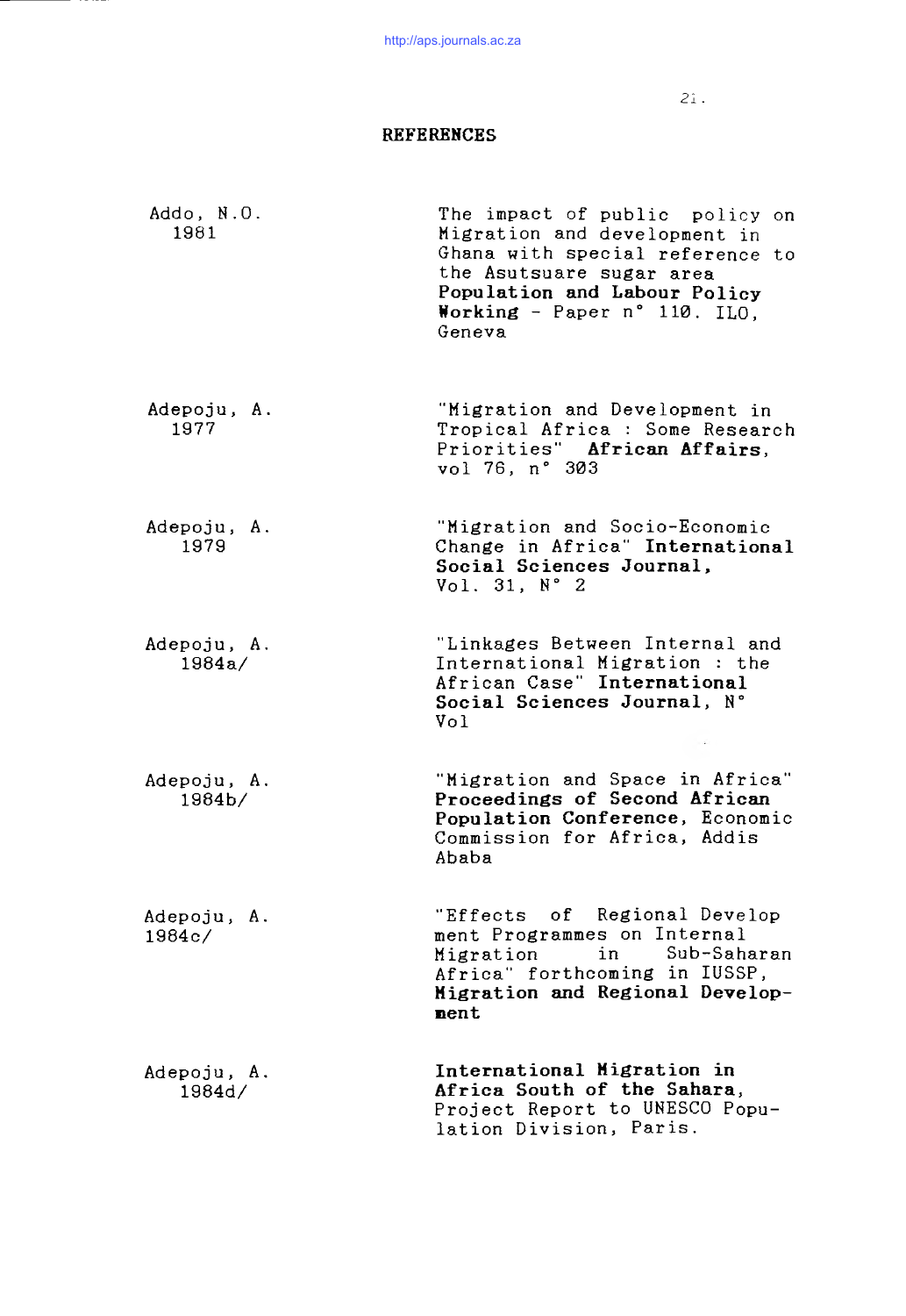21 .

# REFERENCES

| Addo, N.O.<br>1981     | The impact of public policy on<br>Migration and development in<br>Ghana with special reference to<br>the Asutsuare sugar area<br>Population and Labour Policy<br>Working - Paper n° 110. ILO,<br>Geneva |
|------------------------|---------------------------------------------------------------------------------------------------------------------------------------------------------------------------------------------------------|
| Adepoju, A.<br>1977    | "Migration and Development in<br>Tropical Africa : Some Research<br>Priorities" African Affairs,<br>vol 76, n° 303                                                                                      |
| Adepoju, A.<br>1979    | "Migration and Socio-Economic<br>Change in Africa" International<br>Social Sciences Journal,<br>Vol. 31, N° 2                                                                                           |
| Adepoju, A.<br>1984a/  | "Linkages Between Internal and<br>International Migration : the<br>African Case" International<br>Social Sciences Journal, N°<br>Vol                                                                    |
| Adepoju, A.<br>1984 b/ | "Migration and Space in Africa"<br>Proceedings of Second African<br>Population Conference, Economic<br>Commission for Africa, Addis<br>Ababa                                                            |
| Adepoju, A.<br>1984c/  | "Effects of Regional Develop<br>ment Programmes on Internal<br>Sub-Saharan<br>Migration<br>in<br>Africa" forthcoming in IUSSP,<br>Migration and Regional Develop-<br>nent                               |
| Adepoju, A.<br>1984d/  | International Migration in<br>Africa South of the Sahara,<br>Project Report to UNESCO Popu-<br>lation Division, Paris.                                                                                  |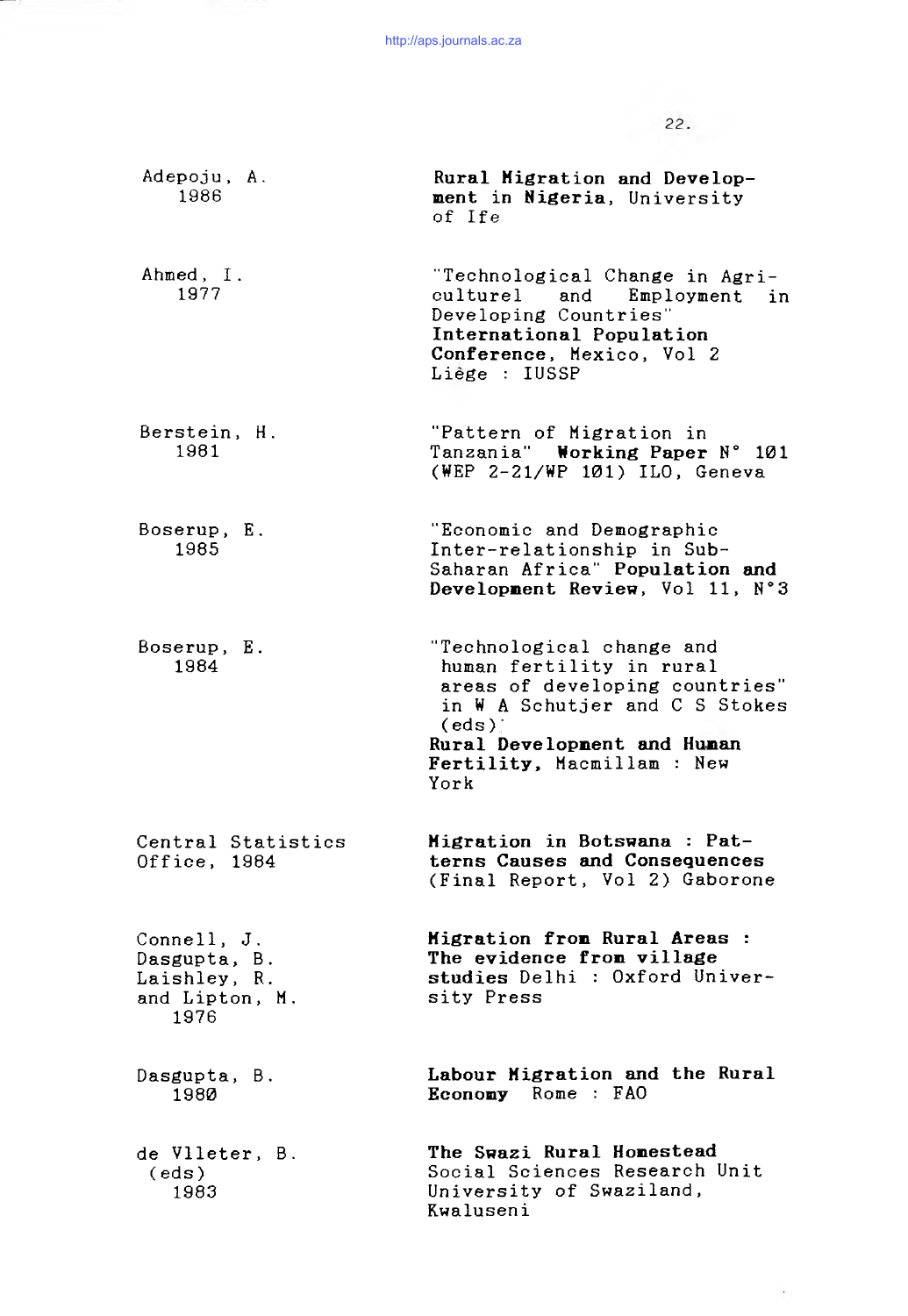$22.$ 

Adepoju, A. 1986 Ahmed, I. 1977 Berstein, H. 1981 Boserup, E. 1985 Boserup, E. 1984 Central Statistics Office, 1984 Connell, J. Dasgupta, B. Laishley, R. and Lipton, M. 1976 Dasgupta, B. 1980 de Vlleter, B. (eds ) 1983 Rural Higration and Development in Nigeria, University of Ife "Technological Change in Agriculturel and Employment in Developing Countries International Population Conference, Mexico, Vol 2 Liège : IUSSP "Pattern of Migration in Tanzania" Working Paper N° 101 (WEP  $2-21/WP$  101) ILO, Geneva "Economic and Demographic Inter-relationship in Sub-Saharan Africa" Population and Development Review, Vol 11, N°3 "Technological change and human fertility in rural areas of developing countries" in  $W$  A Schutjer and C S Stokes  $(\text{eds})$ Rural Development and Human Fertility, Macmillam : New York  $M$ igration in Botswana : Patterns Causes and Consequences (Final Report, Vol 2) Gaborone Migration from Rural Areas : The evidence from village studies Delhi : Oxford University Press Labour Higration and the Rural  $E$  conomy Rome :  $FAO$ The Swazi Rural Homestead Social Sciences Research Unit University of Swaziland, Kwaluseni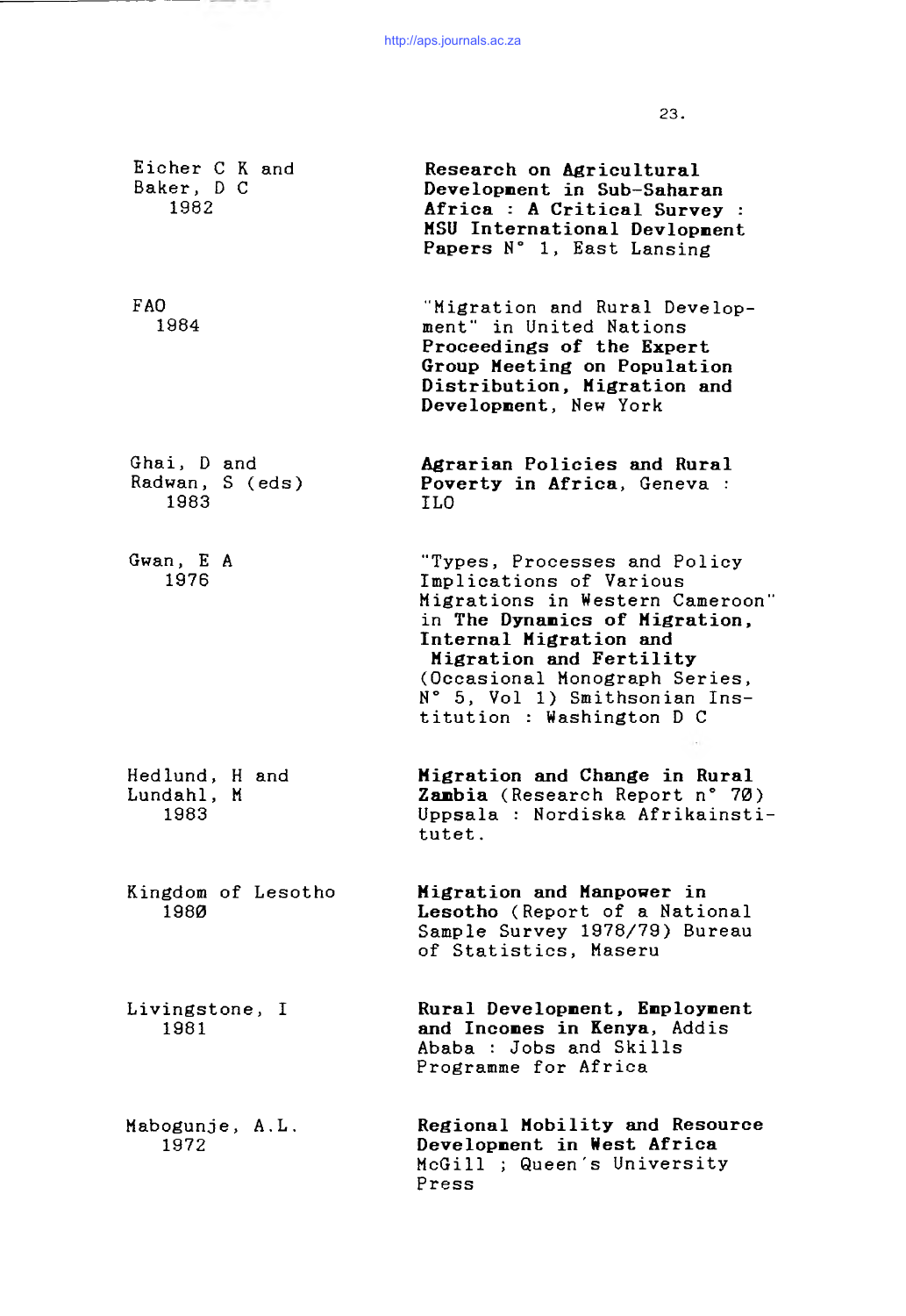-----

the company of the company of the company

23.

| Eicher C K and<br>Baker, D C<br>1982   | Research on Agricultural<br>Development in Sub-Saharan<br>Africa : A Critical Survey :<br>MSU International Devlopment<br>Papers N° 1, East Lansing                                                                                                                             |
|----------------------------------------|---------------------------------------------------------------------------------------------------------------------------------------------------------------------------------------------------------------------------------------------------------------------------------|
| FAO.<br>1984                           | "Migration and Rural Develop-<br>ment" in United Nations<br>Proceedings of the Expert<br>Group Meeting on Population<br>Distribution, Migration and<br>Development, New York                                                                                                    |
| Ghai, D and<br>Radwan, S (eds)<br>1983 | Agrarian Policies and Rural<br>Poverty in Africa, Geneva :<br>ILO                                                                                                                                                                                                               |
| Gwan, E A<br>1976                      | "Types, Processes and Policy<br>Implications of Various<br>Migrations in Western Cameroon"<br>in The Dynamics of Migration,<br>Internal Migration and<br>Migration and Fertility<br>(Occasional Monograph Series,<br>N° 5, Vol 1) Smithsonian Ins-<br>titution : Washington D C |
| Hedlund, H and<br>Lundahl, M<br>1983   | Migration and Change in Rural<br>Zambia (Research Report n° 70)<br>Uppsala : Nordiska Afrikainsti-<br>tutet.                                                                                                                                                                    |
| Kingdom of Lesotho<br>1980             | Migration and Manpower in<br>Lesotho (Report of a National<br>Sample Survey 1978/79) Bureau<br>of Statistics, Maseru                                                                                                                                                            |
| Livingstone, I<br>1981                 | Rural Development, Employment<br>and Incomes in Kenya, Addis<br>Ababa : Jobs and Skills<br>Programme for Africa                                                                                                                                                                 |
| Mabogunje, A.L.<br>1972                | Regional Mobility and Resource<br>Development in West Africa<br>McGill ; Queen's University<br>Press                                                                                                                                                                            |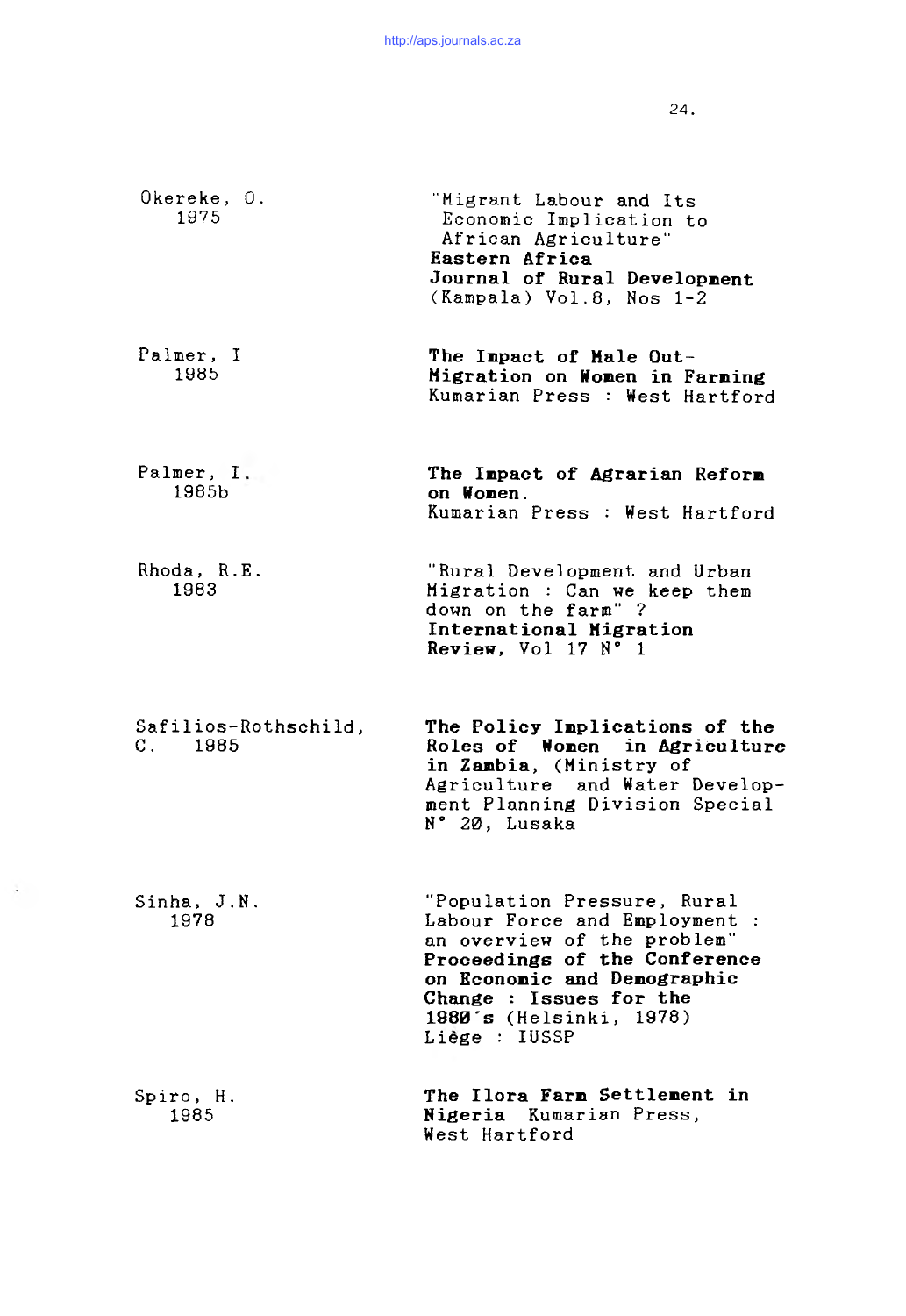24.

| Okereke, O.<br>1975             | "Migrant Labour and Its<br>Economic Implication to<br>African Agriculture"<br>Eastern Africa<br>Journal of Rural Development<br>(Kampala) Vol.8, Nos 1-2                                                                           |
|---------------------------------|------------------------------------------------------------------------------------------------------------------------------------------------------------------------------------------------------------------------------------|
| Palmer, I<br>1985               | The Impact of Male Out-<br>Migration on Women in Farming<br>Kumarian Press : West Hartford                                                                                                                                         |
| Palmer, I.<br>1985b             | The Impact of Agrarian Reform<br>on Women.<br>Kumarian Press : West Hartford                                                                                                                                                       |
| Rhoda, R.E.<br>1983             | "Rural Development and Urban<br>Migration : Can we keep them<br>down on the farm"?<br>International Migration<br>Review, Vol 17 N° 1                                                                                               |
| Safilios-Rothschild,<br>C. 1985 | The Policy Implications of the<br>Roles of Women in Agriculture<br>in Zambia, (Ministry of<br>Agriculture and Water Develop-<br>ment Planning Division Special<br>N° 20, Lusaka                                                    |
| Sinha, J.N.<br>1978             | "Population Pressure, Rural<br>Labour Force and Employment :<br>an overview of the problem"<br>Proceedings of the Conference<br>on Economic and Demographic<br>Change : Issues for the<br>1980's (Helsinki, 1978)<br>Liège : IUSSP |
| Spiro, H.<br>1985               | The Ilora Farm Settlement in<br>Nigeria Kumarian Press,<br>West Hartford                                                                                                                                                           |

 $\mathcal{A}$  .